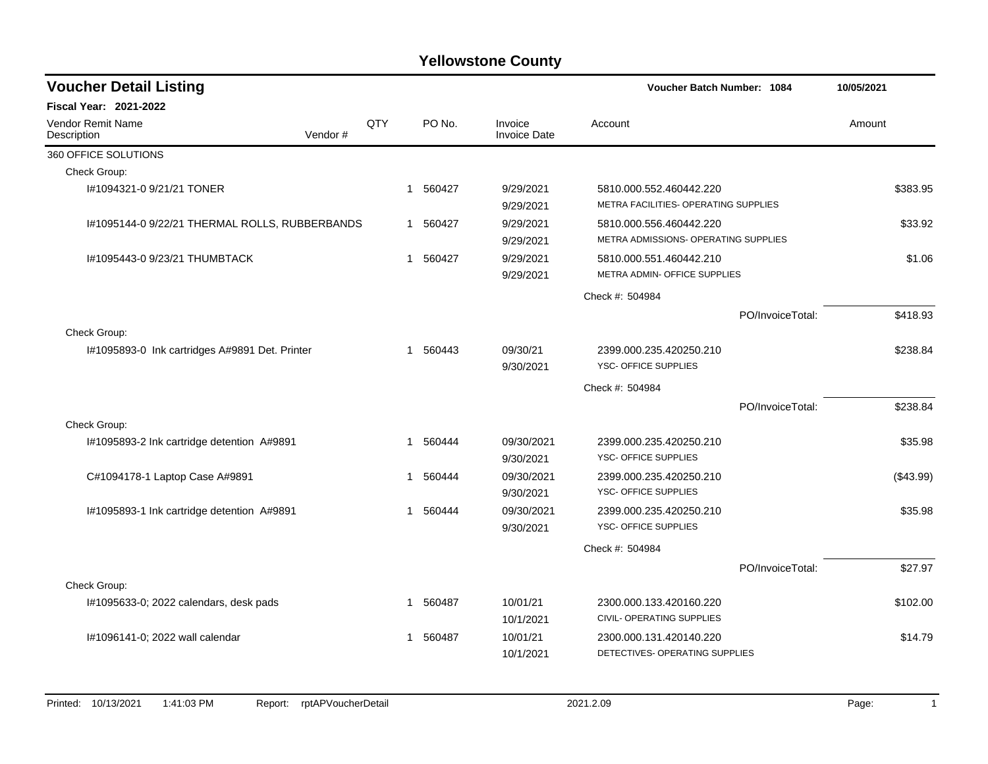| <b>Voucher Detail Listing</b>                  |         |     |              |          |                                | Voucher Batch Number: 1084                                      |                  | 10/05/2021 |           |
|------------------------------------------------|---------|-----|--------------|----------|--------------------------------|-----------------------------------------------------------------|------------------|------------|-----------|
| Fiscal Year: 2021-2022                         |         |     |              |          |                                |                                                                 |                  |            |           |
| Vendor Remit Name<br>Description               | Vendor# | QTY |              | PO No.   | Invoice<br><b>Invoice Date</b> | Account                                                         |                  | Amount     |           |
| 360 OFFICE SOLUTIONS                           |         |     |              |          |                                |                                                                 |                  |            |           |
| Check Group:                                   |         |     |              |          |                                |                                                                 |                  |            |           |
| I#1094321-0 9/21/21 TONER                      |         |     | $\mathbf 1$  | 560427   | 9/29/2021<br>9/29/2021         | 5810.000.552.460442.220<br>METRA FACILITIES- OPERATING SUPPLIES |                  |            | \$383.95  |
| I#1095144-0 9/22/21 THERMAL ROLLS, RUBBERBANDS |         |     |              | 1 560427 | 9/29/2021<br>9/29/2021         | 5810.000.556.460442.220<br>METRA ADMISSIONS- OPERATING SUPPLIES |                  |            | \$33.92   |
| I#1095443-0 9/23/21 THUMBTACK                  |         |     |              | 1 560427 | 9/29/2021<br>9/29/2021         | 5810.000.551.460442.210<br>METRA ADMIN- OFFICE SUPPLIES         |                  |            |           |
|                                                |         |     |              |          |                                | Check #: 504984                                                 |                  |            |           |
|                                                |         |     |              |          |                                |                                                                 | PO/InvoiceTotal: |            | \$418.93  |
| Check Group:                                   |         |     |              |          |                                |                                                                 |                  |            |           |
| 1#1095893-0 Ink cartridges A#9891 Det. Printer |         |     | 1            | 560443   | 09/30/21<br>9/30/2021          | 2399.000.235.420250.210<br><b>YSC- OFFICE SUPPLIES</b>          |                  |            | \$238.84  |
|                                                |         |     |              |          |                                | Check #: 504984                                                 |                  |            |           |
|                                                |         |     |              |          |                                |                                                                 | PO/InvoiceTotal: |            | \$238.84  |
| Check Group:                                   |         |     |              |          |                                |                                                                 |                  |            |           |
| I#1095893-2 Ink cartridge detention A#9891     |         |     | $\mathbf{1}$ | 560444   | 09/30/2021<br>9/30/2021        | 2399.000.235.420250.210<br><b>YSC- OFFICE SUPPLIES</b>          |                  |            | \$35.98   |
| C#1094178-1 Laptop Case A#9891                 |         |     | -1           | 560444   | 09/30/2021<br>9/30/2021        | 2399.000.235.420250.210<br>YSC- OFFICE SUPPLIES                 |                  |            | (\$43.99) |
| I#1095893-1 Ink cartridge detention A#9891     |         |     |              | 1 560444 | 09/30/2021<br>9/30/2021        | 2399.000.235.420250.210<br>YSC- OFFICE SUPPLIES                 |                  |            | \$35.98   |
|                                                |         |     |              |          |                                | Check #: 504984                                                 |                  |            |           |
|                                                |         |     |              |          |                                |                                                                 | PO/InvoiceTotal: |            | \$27.97   |
| Check Group:                                   |         |     |              |          |                                |                                                                 |                  |            |           |
| I#1095633-0; 2022 calendars, desk pads         |         |     | -1           | 560487   | 10/01/21<br>10/1/2021          | 2300.000.133.420160.220<br>CIVIL- OPERATING SUPPLIES            |                  |            | \$102.00  |
| I#1096141-0; 2022 wall calendar                |         |     | 1            | 560487   | 10/01/21<br>10/1/2021          | 2300.000.131.420140.220<br>DETECTIVES- OPERATING SUPPLIES       |                  |            | \$14.79   |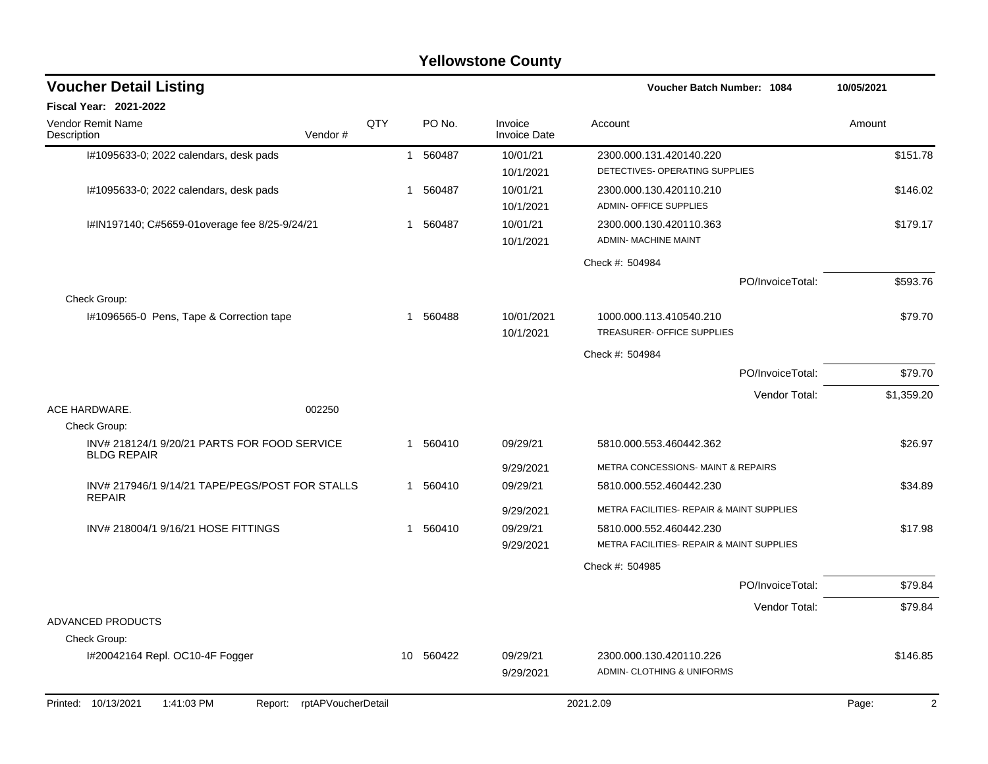|                                                                    |                    |                |           | <b>Yellowstone County</b>      |                                                                      |            |
|--------------------------------------------------------------------|--------------------|----------------|-----------|--------------------------------|----------------------------------------------------------------------|------------|
| <b>Voucher Detail Listing</b>                                      |                    |                |           |                                | Voucher Batch Number: 1084                                           | 10/05/2021 |
| Fiscal Year: 2021-2022                                             |                    |                |           |                                |                                                                      |            |
| Vendor Remit Name<br>Description                                   | Vendor#            | QTY            | PO No.    | Invoice<br><b>Invoice Date</b> | Account                                                              | Amount     |
| 1#1095633-0; 2022 calendars, desk pads                             |                    | $\overline{1}$ | 560487    | 10/01/21<br>10/1/2021          | 2300.000.131.420140.220<br>DETECTIVES- OPERATING SUPPLIES            | \$151.78   |
| I#1095633-0; 2022 calendars, desk pads                             |                    | -1             | 560487    | 10/01/21<br>10/1/2021          | 2300.000.130.420110.210<br>ADMIN- OFFICE SUPPLIES                    | \$146.02   |
| I#IN197140; C#5659-01overage fee 8/25-9/24/21                      |                    | 1.             | 560487    | 10/01/21<br>10/1/2021          | 2300.000.130.420110.363<br><b>ADMIN- MACHINE MAINT</b>               | \$179.17   |
|                                                                    |                    |                |           |                                | Check #: 504984                                                      |            |
| Check Group:                                                       |                    |                |           |                                | PO/InvoiceTotal:                                                     | \$593.76   |
| I#1096565-0 Pens, Tape & Correction tape                           |                    |                | 1 560488  | 10/01/2021<br>10/1/2021        | 1000.000.113.410540.210<br>TREASURER- OFFICE SUPPLIES                | \$79.70    |
|                                                                    |                    |                |           |                                | Check #: 504984                                                      |            |
|                                                                    |                    |                |           |                                | PO/InvoiceTotal:                                                     | \$79.70    |
|                                                                    |                    |                |           |                                | Vendor Total:                                                        | \$1,359.20 |
| ACE HARDWARE.<br>Check Group:                                      | 002250             |                |           |                                |                                                                      |            |
| INV# 218124/1 9/20/21 PARTS FOR FOOD SERVICE<br><b>BLDG REPAIR</b> |                    |                | 1 560410  | 09/29/21                       | 5810.000.553.460442.362                                              | \$26.97    |
|                                                                    |                    |                |           | 9/29/2021                      | METRA CONCESSIONS- MAINT & REPAIRS                                   |            |
| INV# 217946/1 9/14/21 TAPE/PEGS/POST FOR STALLS<br><b>REPAIR</b>   |                    | 1              | 560410    | 09/29/21                       | 5810.000.552.460442.230                                              | \$34.89    |
|                                                                    |                    |                |           | 9/29/2021                      | METRA FACILITIES- REPAIR & MAINT SUPPLIES                            |            |
| INV# 218004/1 9/16/21 HOSE FITTINGS                                |                    | $\mathbf 1$    | 560410    | 09/29/21<br>9/29/2021          | 5810.000.552.460442.230<br>METRA FACILITIES- REPAIR & MAINT SUPPLIES | \$17.98    |
|                                                                    |                    |                |           |                                | Check #: 504985                                                      |            |
|                                                                    |                    |                |           |                                | PO/InvoiceTotal:                                                     | \$79.84    |
|                                                                    |                    |                |           |                                | Vendor Total:                                                        | \$79.84    |
| ADVANCED PRODUCTS                                                  |                    |                |           |                                |                                                                      |            |
| Check Group:                                                       |                    |                |           |                                |                                                                      |            |
| I#20042164 Repl. OC10-4F Fogger                                    |                    |                | 10 560422 | 09/29/21<br>9/29/2021          | 2300.000.130.420110.226<br>ADMIN- CLOTHING & UNIFORMS                | \$146.85   |
| Printed: 10/13/2021<br>1:41:03 PM<br>Report:                       | rptAPVoucherDetail |                |           |                                | 2021.2.09                                                            | Page:<br>2 |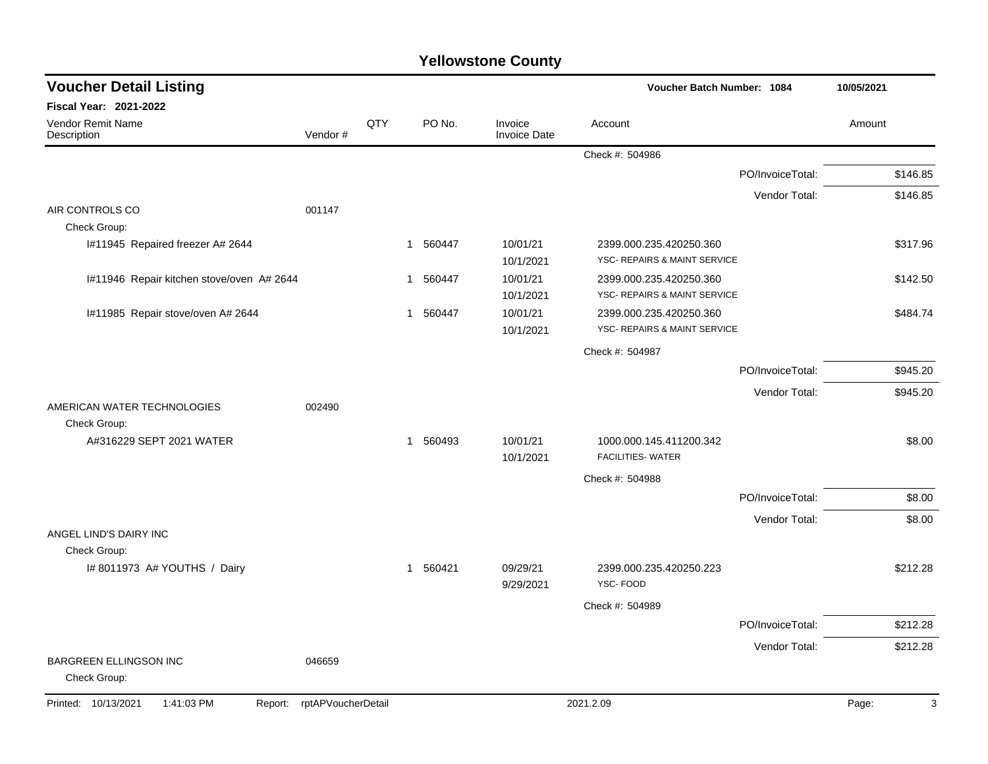| <b>Yellowstone County</b> |  |
|---------------------------|--|
|---------------------------|--|

| <b>Voucher Detail Listing</b>                 |                    |     |                        |                                | Voucher Batch Number: 1084                              |                  | 10/05/2021 |
|-----------------------------------------------|--------------------|-----|------------------------|--------------------------------|---------------------------------------------------------|------------------|------------|
| Fiscal Year: 2021-2022                        |                    |     |                        |                                |                                                         |                  |            |
| Vendor Remit Name<br>Description              | Vendor#            | QTY | PO No.                 | Invoice<br><b>Invoice Date</b> | Account                                                 |                  | Amount     |
|                                               |                    |     |                        |                                | Check #: 504986                                         |                  |            |
|                                               |                    |     |                        |                                |                                                         | PO/InvoiceTotal: | \$146.85   |
|                                               |                    |     |                        |                                |                                                         | Vendor Total:    | \$146.85   |
| AIR CONTROLS CO<br>Check Group:               | 001147             |     |                        |                                |                                                         |                  |            |
| I#11945 Repaired freezer A# 2644              |                    |     | 560447<br>1            | 10/01/21<br>10/1/2021          | 2399.000.235.420250.360<br>YSC- REPAIRS & MAINT SERVICE |                  | \$317.96   |
| I#11946 Repair kitchen stove/oven A# 2644     |                    |     | 560447<br>1            | 10/01/21<br>10/1/2021          | 2399.000.235.420250.360<br>YSC- REPAIRS & MAINT SERVICE |                  | \$142.50   |
| I#11985 Repair stove/oven A# 2644             |                    |     | 560447<br>$\mathbf{1}$ | 10/01/21<br>10/1/2021          | 2399.000.235.420250.360<br>YSC- REPAIRS & MAINT SERVICE |                  | \$484.74   |
|                                               |                    |     |                        |                                | Check #: 504987                                         |                  |            |
|                                               |                    |     |                        |                                |                                                         | PO/InvoiceTotal: | \$945.20   |
|                                               |                    |     |                        |                                |                                                         | Vendor Total:    | \$945.20   |
| AMERICAN WATER TECHNOLOGIES<br>Check Group:   | 002490             |     |                        |                                |                                                         |                  |            |
| A#316229 SEPT 2021 WATER                      |                    |     | 560493<br>$\mathbf{1}$ | 10/01/21<br>10/1/2021          | 1000.000.145.411200.342<br><b>FACILITIES- WATER</b>     |                  | \$8.00     |
|                                               |                    |     |                        |                                | Check #: 504988                                         |                  |            |
|                                               |                    |     |                        |                                |                                                         | PO/InvoiceTotal: | \$8.00     |
|                                               |                    |     |                        |                                |                                                         | Vendor Total:    | \$8.00     |
| ANGEL LIND'S DAIRY INC                        |                    |     |                        |                                |                                                         |                  |            |
| Check Group:<br>I# 8011973 A# YOUTHS / Dairy  |                    |     | 560421<br>$\mathbf{1}$ | 09/29/21<br>9/29/2021          | 2399.000.235.420250.223<br>YSC-FOOD                     |                  | \$212.28   |
|                                               |                    |     |                        |                                | Check #: 504989                                         |                  |            |
|                                               |                    |     |                        |                                |                                                         | PO/InvoiceTotal: | \$212.28   |
|                                               |                    |     |                        |                                |                                                         | Vendor Total:    | \$212.28   |
| <b>BARGREEN ELLINGSON INC</b><br>Check Group: | 046659             |     |                        |                                |                                                         |                  |            |
| Printed: 10/13/2021<br>1:41:03 PM<br>Report:  | rptAPVoucherDetail |     |                        |                                | 2021.2.09                                               |                  | Page:<br>3 |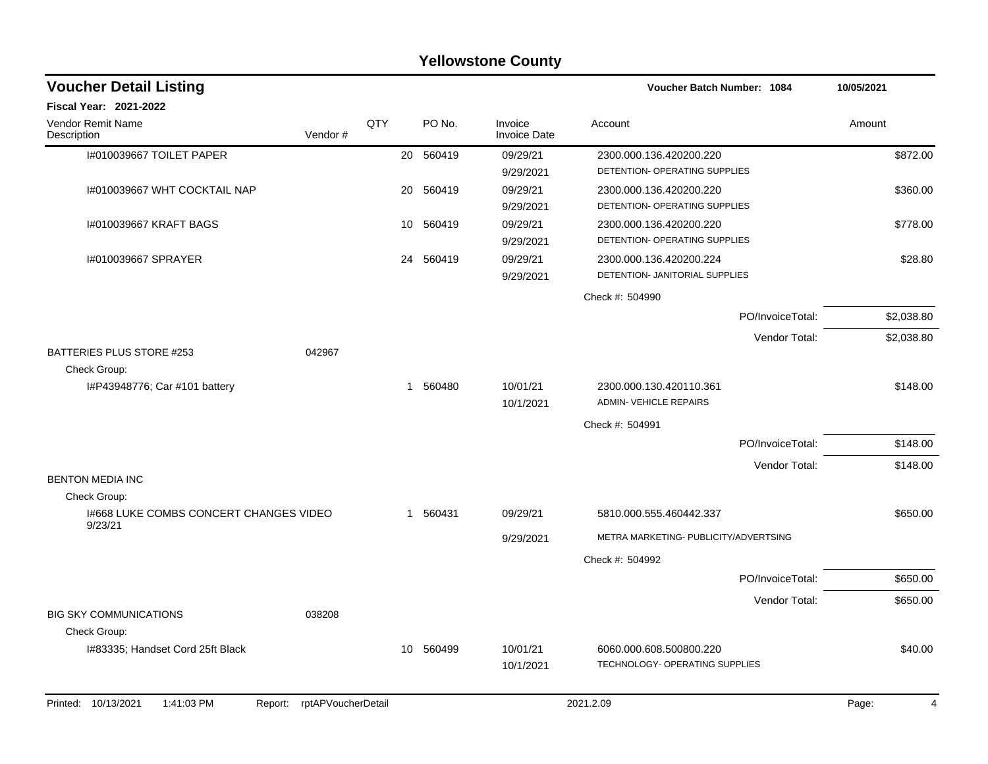|                                                   |                    |     |           | <b>Yellowstone County</b>      |                                                           |            |
|---------------------------------------------------|--------------------|-----|-----------|--------------------------------|-----------------------------------------------------------|------------|
| <b>Voucher Detail Listing</b>                     |                    |     |           |                                | <b>Voucher Batch Number: 1084</b>                         | 10/05/2021 |
| Fiscal Year: 2021-2022                            |                    |     |           |                                |                                                           |            |
| Vendor Remit Name<br>Description                  | Vendor#            | QTY | PO No.    | Invoice<br><b>Invoice Date</b> | Account                                                   | Amount     |
| I#010039667 TOILET PAPER                          |                    | 20  | 560419    | 09/29/21<br>9/29/2021          | 2300.000.136.420200.220<br>DETENTION- OPERATING SUPPLIES  | \$872.00   |
| I#010039667 WHT COCKTAIL NAP                      |                    | 20  | 560419    | 09/29/21<br>9/29/2021          | 2300.000.136.420200.220<br>DETENTION- OPERATING SUPPLIES  | \$360.00   |
| 1#010039667 KRAFT BAGS                            |                    | 10  | 560419    | 09/29/21<br>9/29/2021          | 2300.000.136.420200.220<br>DETENTION- OPERATING SUPPLIES  | \$778.00   |
| I#010039667 SPRAYER                               |                    | 24  | 560419    | 09/29/21<br>9/29/2021          | 2300.000.136.420200.224<br>DETENTION- JANITORIAL SUPPLIES | \$28.80    |
|                                                   |                    |     |           |                                | Check #: 504990                                           |            |
|                                                   |                    |     |           |                                | PO/InvoiceTotal:                                          | \$2,038.80 |
|                                                   |                    |     |           |                                | Vendor Total:                                             | \$2,038.80 |
| BATTERIES PLUS STORE #253<br>Check Group:         | 042967             |     |           |                                |                                                           |            |
| I#P43948776; Car #101 battery                     |                    | 1   | 560480    | 10/01/21<br>10/1/2021          | 2300.000.130.420110.361<br><b>ADMIN- VEHICLE REPAIRS</b>  | \$148.00   |
|                                                   |                    |     |           |                                | Check #: 504991                                           |            |
|                                                   |                    |     |           |                                | PO/InvoiceTotal:                                          | \$148.00   |
| <b>BENTON MEDIA INC</b>                           |                    |     |           |                                | Vendor Total:                                             | \$148.00   |
| Check Group:                                      |                    |     |           |                                |                                                           |            |
| 1#668 LUKE COMBS CONCERT CHANGES VIDEO<br>9/23/21 |                    | 1   | 560431    | 09/29/21                       | 5810.000.555.460442.337                                   | \$650.00   |
|                                                   |                    |     |           | 9/29/2021                      | METRA MARKETING- PUBLICITY/ADVERTSING                     |            |
|                                                   |                    |     |           |                                | Check #: 504992                                           |            |
|                                                   |                    |     |           |                                | PO/InvoiceTotal:                                          | \$650.00   |
| <b>BIG SKY COMMUNICATIONS</b>                     | 038208             |     |           |                                | Vendor Total:                                             | \$650.00   |
| Check Group:                                      |                    |     |           |                                |                                                           |            |
| I#83335; Handset Cord 25ft Black                  |                    |     | 10 560499 | 10/01/21<br>10/1/2021          | 6060.000.608.500800.220<br>TECHNOLOGY- OPERATING SUPPLIES | \$40.00    |
| Printed: 10/13/2021<br>1:41:03 PM<br>Report:      | rptAPVoucherDetail |     |           |                                | 2021.2.09                                                 | Page:<br>4 |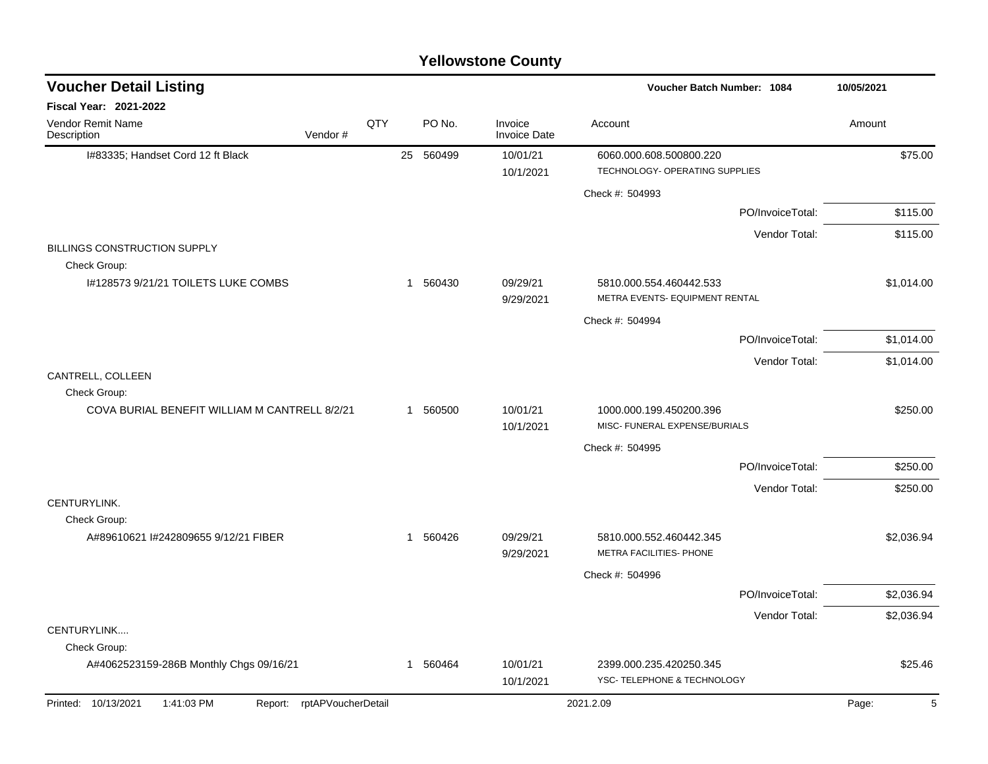| <b>Yellowstone County</b> |  |
|---------------------------|--|
|---------------------------|--|

| <b>Voucher Detail Listing</b>                       |                            |              |           |                                |                                                           | <b>Voucher Batch Number: 1084</b> |            |  |  |
|-----------------------------------------------------|----------------------------|--------------|-----------|--------------------------------|-----------------------------------------------------------|-----------------------------------|------------|--|--|
| Fiscal Year: 2021-2022                              |                            |              |           |                                |                                                           |                                   |            |  |  |
| Vendor Remit Name<br>Description                    | QTY<br>Vendor#             |              | PO No.    | Invoice<br><b>Invoice Date</b> | Account                                                   |                                   | Amount     |  |  |
| I#83335; Handset Cord 12 ft Black                   |                            |              | 25 560499 | 10/01/21                       | 6060.000.608.500800.220                                   |                                   | \$75.00    |  |  |
|                                                     |                            |              |           | 10/1/2021                      | TECHNOLOGY- OPERATING SUPPLIES                            |                                   |            |  |  |
|                                                     |                            |              |           |                                | Check #: 504993                                           |                                   |            |  |  |
|                                                     |                            |              |           |                                |                                                           | PO/InvoiceTotal:                  | \$115.00   |  |  |
|                                                     |                            |              |           |                                |                                                           | Vendor Total:                     | \$115.00   |  |  |
| <b>BILLINGS CONSTRUCTION SUPPLY</b><br>Check Group: |                            |              |           |                                |                                                           |                                   |            |  |  |
| I#128573 9/21/21 TOILETS LUKE COMBS                 |                            | $\mathbf{1}$ | 560430    | 09/29/21<br>9/29/2021          | 5810.000.554.460442.533<br>METRA EVENTS- EQUIPMENT RENTAL |                                   | \$1,014.00 |  |  |
|                                                     |                            |              |           |                                | Check #: 504994                                           |                                   |            |  |  |
|                                                     |                            |              |           |                                |                                                           | PO/InvoiceTotal:                  | \$1,014.00 |  |  |
|                                                     |                            |              |           |                                |                                                           | Vendor Total:                     | \$1,014.00 |  |  |
| CANTRELL, COLLEEN<br>Check Group:                   |                            |              |           |                                |                                                           |                                   |            |  |  |
| COVA BURIAL BENEFIT WILLIAM M CANTRELL 8/2/21       |                            | $\mathbf{1}$ | 560500    | 10/01/21<br>10/1/2021          | 1000.000.199.450200.396<br>MISC- FUNERAL EXPENSE/BURIALS  |                                   | \$250.00   |  |  |
|                                                     |                            |              |           |                                | Check #: 504995                                           |                                   |            |  |  |
|                                                     |                            |              |           |                                |                                                           | PO/InvoiceTotal:                  | \$250.00   |  |  |
|                                                     |                            |              |           |                                |                                                           |                                   |            |  |  |
| CENTURYLINK.                                        |                            |              |           |                                |                                                           | Vendor Total:                     | \$250.00   |  |  |
| Check Group:                                        |                            |              |           |                                |                                                           |                                   |            |  |  |
| A#89610621 I#242809655 9/12/21 FIBER                |                            | $\mathbf 1$  | 560426    | 09/29/21<br>9/29/2021          | 5810.000.552.460442.345<br>METRA FACILITIES- PHONE        |                                   | \$2,036.94 |  |  |
|                                                     |                            |              |           |                                | Check #: 504996                                           |                                   |            |  |  |
|                                                     |                            |              |           |                                |                                                           | PO/InvoiceTotal:                  | \$2,036.94 |  |  |
|                                                     |                            |              |           |                                |                                                           | Vendor Total:                     | \$2,036.94 |  |  |
| CENTURYLINK                                         |                            |              |           |                                |                                                           |                                   |            |  |  |
| Check Group:                                        |                            |              |           |                                |                                                           |                                   |            |  |  |
| A#4062523159-286B Monthly Chgs 09/16/21             |                            | -1           | 560464    | 10/01/21<br>10/1/2021          | 2399.000.235.420250.345<br>YSC- TELEPHONE & TECHNOLOGY    |                                   | \$25.46    |  |  |
| Printed: 10/13/2021<br>1:41:03 PM                   | Report: rptAPVoucherDetail |              |           |                                | 2021.2.09                                                 |                                   | Page:<br>5 |  |  |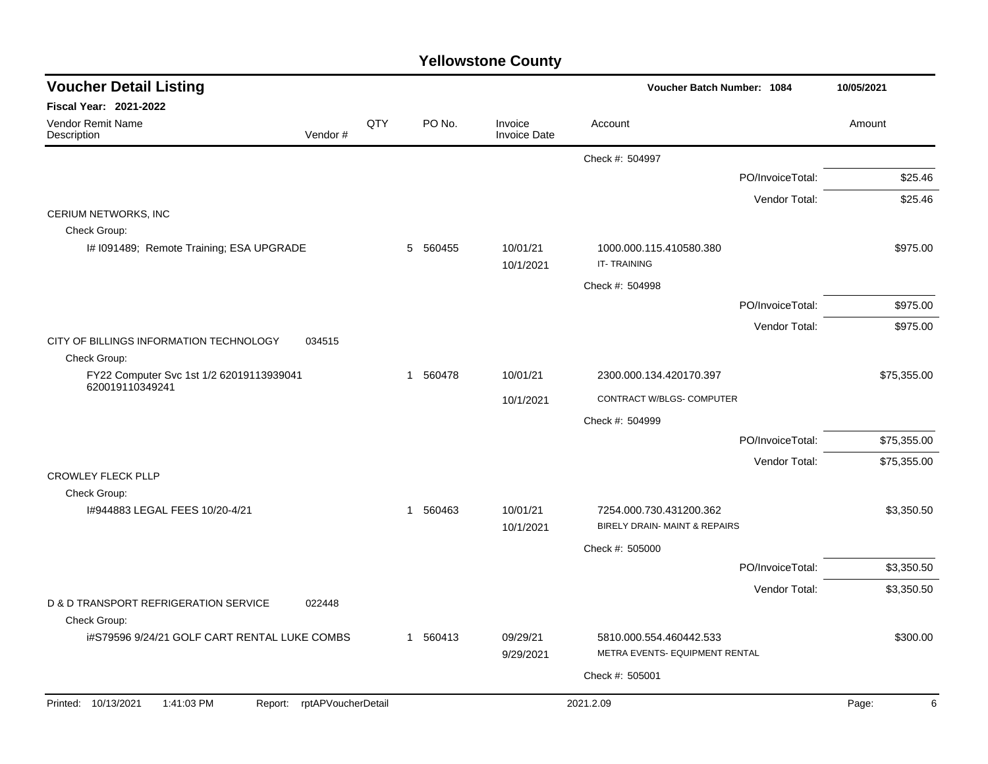| <b>Voucher Detail Listing</b>                               |                    |     |          |                                |                                                           | Voucher Batch Number: 1084 |             |
|-------------------------------------------------------------|--------------------|-----|----------|--------------------------------|-----------------------------------------------------------|----------------------------|-------------|
| <b>Fiscal Year: 2021-2022</b>                               |                    |     |          |                                |                                                           |                            |             |
| Vendor Remit Name<br>Description                            | Vendor#            | QTY | PO No.   | Invoice<br><b>Invoice Date</b> | Account                                                   |                            | Amount      |
|                                                             |                    |     |          |                                | Check #: 504997                                           |                            |             |
|                                                             |                    |     |          |                                |                                                           | PO/InvoiceTotal:           | \$25.46     |
|                                                             |                    |     |          |                                |                                                           | Vendor Total:              | \$25.46     |
| CERIUM NETWORKS, INC                                        |                    |     |          |                                |                                                           |                            |             |
| Check Group:                                                |                    |     |          |                                |                                                           |                            |             |
| I# 1091489; Remote Training; ESA UPGRADE                    |                    |     | 5 560455 | 10/01/21<br>10/1/2021          | 1000.000.115.410580.380<br>IT-TRAINING                    |                            | \$975.00    |
|                                                             |                    |     |          |                                | Check #: 504998                                           |                            |             |
|                                                             |                    |     |          |                                |                                                           | PO/InvoiceTotal:           | \$975.00    |
|                                                             |                    |     |          |                                |                                                           | Vendor Total:              | \$975.00    |
| CITY OF BILLINGS INFORMATION TECHNOLOGY<br>Check Group:     | 034515             |     |          |                                |                                                           |                            |             |
| FY22 Computer Svc 1st 1/2 62019113939041<br>620019110349241 |                    |     | 1 560478 | 10/01/21                       | 2300.000.134.420170.397                                   |                            | \$75,355.00 |
|                                                             |                    |     |          | 10/1/2021                      | CONTRACT W/BLGS- COMPUTER                                 |                            |             |
|                                                             |                    |     |          |                                | Check #: 504999                                           |                            |             |
|                                                             |                    |     |          |                                |                                                           | PO/InvoiceTotal:           | \$75,355.00 |
|                                                             |                    |     |          |                                |                                                           | Vendor Total:              | \$75,355.00 |
| <b>CROWLEY FLECK PLLP</b><br>Check Group:                   |                    |     |          |                                |                                                           |                            |             |
| 1#944883 LEGAL FEES 10/20-4/21                              |                    |     | 1 560463 | 10/01/21<br>10/1/2021          | 7254.000.730.431200.362<br>BIRELY DRAIN- MAINT & REPAIRS  |                            | \$3,350.50  |
|                                                             |                    |     |          |                                | Check #: 505000                                           |                            |             |
|                                                             |                    |     |          |                                |                                                           | PO/InvoiceTotal:           | \$3,350.50  |
|                                                             |                    |     |          |                                |                                                           | Vendor Total:              | \$3,350.50  |
| D & D TRANSPORT REFRIGERATION SERVICE<br>Check Group:       | 022448             |     |          |                                |                                                           |                            |             |
| i#S79596 9/24/21 GOLF CART RENTAL LUKE COMBS                |                    |     | 1 560413 | 09/29/21<br>9/29/2021          | 5810.000.554.460442.533<br>METRA EVENTS- EQUIPMENT RENTAL |                            | \$300.00    |
|                                                             |                    |     |          |                                | Check #: 505001                                           |                            |             |
|                                                             |                    |     |          |                                |                                                           |                            |             |
| 1:41:03 PM<br>Printed: 10/13/2021<br>Report:                | rptAPVoucherDetail |     |          |                                | 2021.2.09                                                 |                            | Page:<br>6  |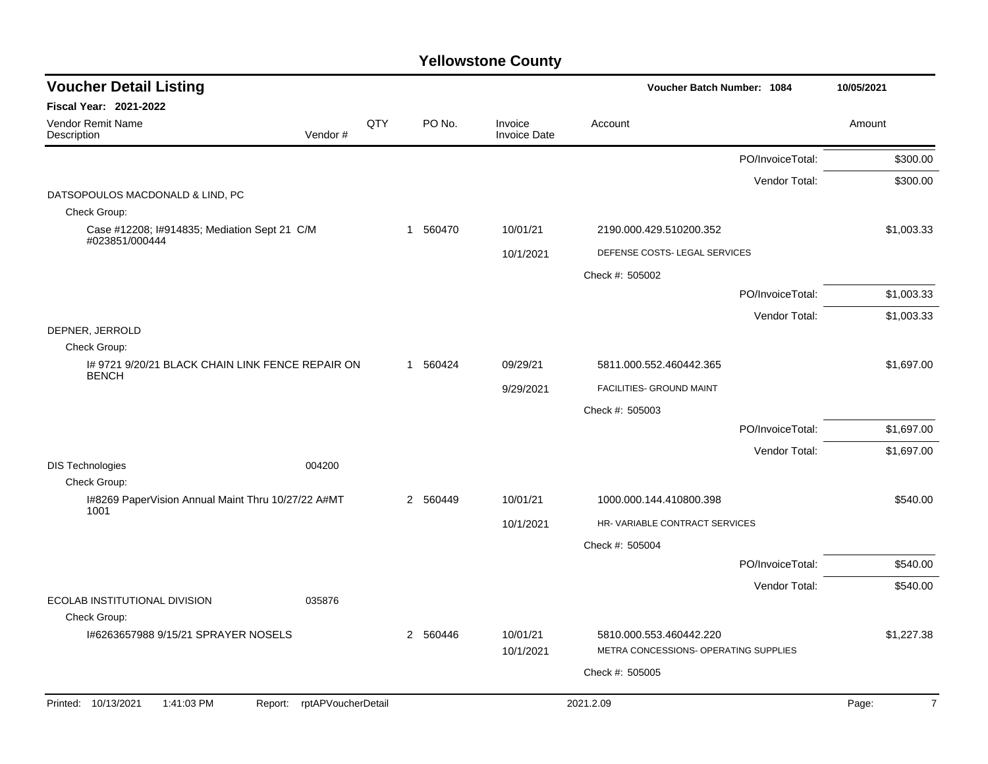| <b>Voucher Detail Listing</b>                                   |     |              |          |                         | Voucher Batch Number: 1084                                       | 10/05/2021       |                         |
|-----------------------------------------------------------------|-----|--------------|----------|-------------------------|------------------------------------------------------------------|------------------|-------------------------|
| Fiscal Year: 2021-2022                                          |     |              |          |                         |                                                                  |                  |                         |
| Vendor Remit Name<br>Vendor#<br>Description                     | QTY |              | PO No.   | Invoice<br>Invoice Date | Account                                                          |                  | Amount                  |
|                                                                 |     |              |          |                         |                                                                  | PO/InvoiceTotal: | \$300.00                |
|                                                                 |     |              |          |                         |                                                                  | Vendor Total:    | \$300.00                |
| DATSOPOULOS MACDONALD & LIND, PC<br>Check Group:                |     |              |          |                         |                                                                  |                  |                         |
| Case #12208; I#914835; Mediation Sept 21 C/M<br>#023851/000444  |     | $\mathbf{1}$ | 560470   | 10/01/21                | 2190.000.429.510200.352                                          |                  | \$1,003.33              |
|                                                                 |     |              |          | 10/1/2021               | DEFENSE COSTS- LEGAL SERVICES                                    |                  |                         |
|                                                                 |     |              |          |                         | Check #: 505002                                                  |                  |                         |
|                                                                 |     |              |          |                         |                                                                  | PO/InvoiceTotal: | \$1,003.33              |
|                                                                 |     |              |          |                         |                                                                  | Vendor Total:    | \$1,003.33              |
| DEPNER, JERROLD<br>Check Group:                                 |     |              |          |                         |                                                                  |                  |                         |
| 1#97219/20/21 BLACK CHAIN LINK FENCE REPAIR ON                  |     |              | 1 560424 | 09/29/21                | 5811.000.552.460442.365                                          |                  | \$1,697.00              |
| <b>BENCH</b>                                                    |     |              |          | 9/29/2021               | FACILITIES- GROUND MAINT                                         |                  |                         |
|                                                                 |     |              |          |                         | Check #: 505003                                                  |                  |                         |
|                                                                 |     |              |          |                         |                                                                  | PO/InvoiceTotal: | \$1,697.00              |
|                                                                 |     |              |          |                         |                                                                  | Vendor Total:    | \$1,697.00              |
| <b>DIS Technologies</b><br>004200                               |     |              |          |                         |                                                                  |                  |                         |
| Check Group:                                                    |     |              |          |                         |                                                                  |                  |                         |
| I#8269 PaperVision Annual Maint Thru 10/27/22 A#MT<br>1001      |     | 2            | 560449   | 10/01/21                | 1000.000.144.410800.398                                          |                  | \$540.00                |
|                                                                 |     |              |          | 10/1/2021               | HR- VARIABLE CONTRACT SERVICES                                   |                  |                         |
|                                                                 |     |              |          |                         | Check #: 505004                                                  |                  |                         |
|                                                                 |     |              |          |                         |                                                                  | PO/InvoiceTotal: | \$540.00                |
| ECOLAB INSTITUTIONAL DIVISION<br>035876                         |     |              |          |                         |                                                                  | Vendor Total:    | \$540.00                |
| Check Group:                                                    |     |              |          |                         |                                                                  |                  |                         |
| 1#6263657988 9/15/21 SPRAYER NOSELS                             |     |              | 2 560446 | 10/01/21<br>10/1/2021   | 5810.000.553.460442.220<br>METRA CONCESSIONS- OPERATING SUPPLIES |                  | \$1,227.38              |
|                                                                 |     |              |          |                         | Check #: 505005                                                  |                  |                         |
|                                                                 |     |              |          |                         |                                                                  |                  |                         |
| Report: rptAPVoucherDetail<br>Printed: 10/13/2021<br>1:41:03 PM |     |              |          |                         | 2021.2.09                                                        |                  | $\overline{7}$<br>Page: |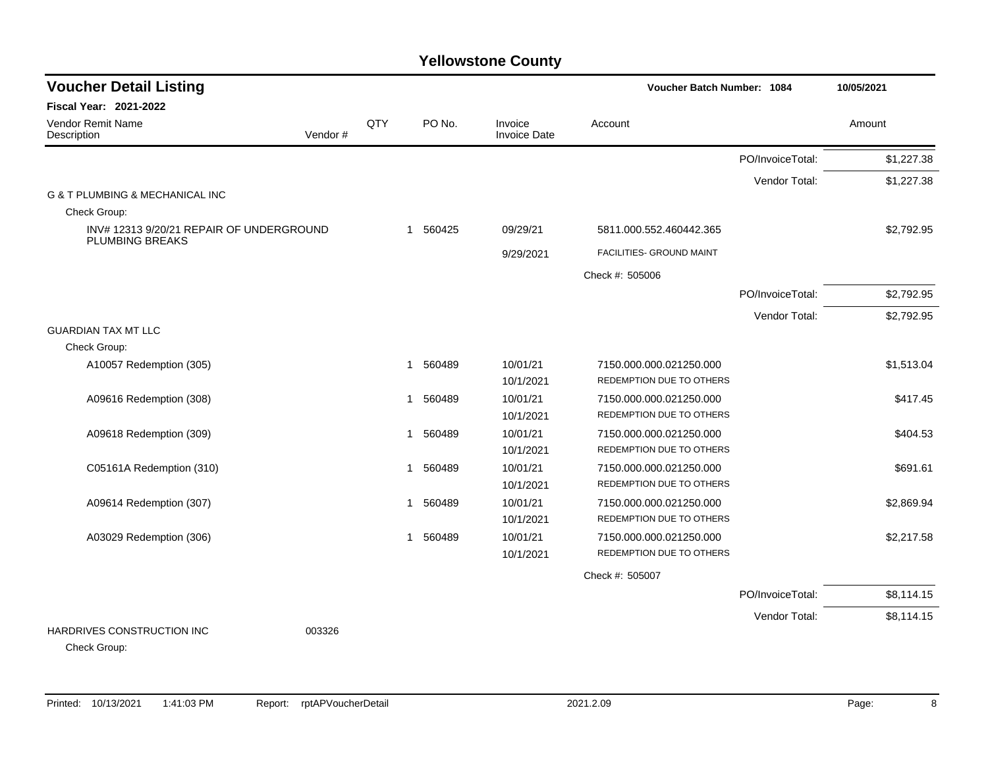| <b>Voucher Detail Listing</b>                                    |         |     |                       |                                |                          | Voucher Batch Number: 1084 |            |  |
|------------------------------------------------------------------|---------|-----|-----------------------|--------------------------------|--------------------------|----------------------------|------------|--|
| <b>Fiscal Year: 2021-2022</b>                                    |         |     |                       |                                |                          |                            |            |  |
| Vendor Remit Name<br>Description                                 | Vendor# | QTY | PO No.                | Invoice<br><b>Invoice Date</b> | Account                  |                            | Amount     |  |
|                                                                  |         |     |                       |                                |                          | PO/InvoiceTotal:           | \$1,227.38 |  |
|                                                                  |         |     |                       |                                |                          | Vendor Total:              | \$1,227.38 |  |
| G & T PLUMBING & MECHANICAL INC                                  |         |     |                       |                                |                          |                            |            |  |
| Check Group:                                                     |         |     |                       |                                |                          |                            |            |  |
| INV#123139/20/21 REPAIR OF UNDERGROUND<br><b>PLUMBING BREAKS</b> |         |     | 1 560425              | 09/29/21                       | 5811.000.552.460442.365  |                            | \$2,792.95 |  |
|                                                                  |         |     |                       | 9/29/2021                      | FACILITIES- GROUND MAINT |                            |            |  |
|                                                                  |         |     |                       |                                | Check #: 505006          |                            |            |  |
|                                                                  |         |     |                       |                                |                          | PO/InvoiceTotal:           | \$2,792.95 |  |
|                                                                  |         |     |                       |                                |                          | Vendor Total:              | \$2,792.95 |  |
| <b>GUARDIAN TAX MT LLC</b>                                       |         |     |                       |                                |                          |                            |            |  |
| Check Group:                                                     |         |     |                       |                                |                          |                            |            |  |
| A10057 Redemption (305)                                          |         |     | 560489<br>1           | 10/01/21                       | 7150.000.000.021250.000  |                            | \$1,513.04 |  |
|                                                                  |         |     |                       | 10/1/2021                      | REDEMPTION DUE TO OTHERS |                            |            |  |
| A09616 Redemption (308)                                          |         |     | 560489<br>1           | 10/01/21                       | 7150.000.000.021250.000  |                            | \$417.45   |  |
|                                                                  |         |     |                       | 10/1/2021                      | REDEMPTION DUE TO OTHERS |                            |            |  |
| A09618 Redemption (309)                                          |         |     | 560489<br>-1          | 10/01/21                       | 7150.000.000.021250.000  |                            | \$404.53   |  |
|                                                                  |         |     |                       | 10/1/2021                      | REDEMPTION DUE TO OTHERS |                            |            |  |
| C05161A Redemption (310)                                         |         |     | 1 560489              | 10/01/21                       | 7150.000.000.021250.000  |                            | \$691.61   |  |
|                                                                  |         |     |                       | 10/1/2021                      | REDEMPTION DUE TO OTHERS |                            |            |  |
| A09614 Redemption (307)                                          |         |     | 560489<br>$\mathbf 1$ | 10/01/21                       | 7150.000.000.021250.000  |                            | \$2,869.94 |  |
|                                                                  |         |     |                       | 10/1/2021                      | REDEMPTION DUE TO OTHERS |                            |            |  |
| A03029 Redemption (306)                                          |         |     | 560489<br>$\mathbf 1$ | 10/01/21                       | 7150.000.000.021250.000  |                            | \$2,217.58 |  |
|                                                                  |         |     |                       | 10/1/2021                      | REDEMPTION DUE TO OTHERS |                            |            |  |
|                                                                  |         |     |                       |                                | Check #: 505007          |                            |            |  |
|                                                                  |         |     |                       |                                |                          | PO/InvoiceTotal:           | \$8,114.15 |  |
|                                                                  |         |     |                       |                                |                          | Vendor Total:              | \$8,114.15 |  |
| HARDRIVES CONSTRUCTION INC<br>Check Group:                       | 003326  |     |                       |                                |                          |                            |            |  |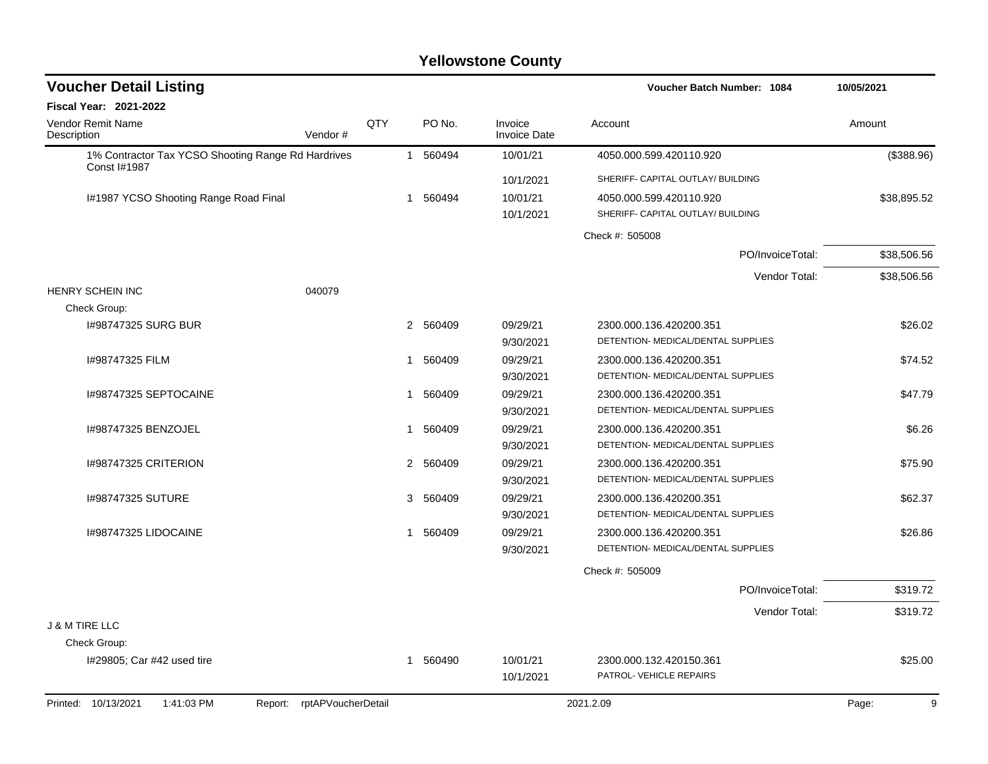| <b>Voucher Detail Listing</b>                                      |     |                        |                                          | Voucher Batch Number: 1084         | 10/05/2021  |  |
|--------------------------------------------------------------------|-----|------------------------|------------------------------------------|------------------------------------|-------------|--|
| Fiscal Year: 2021-2022                                             |     |                        |                                          |                                    |             |  |
| <b>Vendor Remit Name</b><br>Description<br>Vendor#                 | QTY |                        | PO No.<br>Invoice<br><b>Invoice Date</b> | Account                            | Amount      |  |
| 1% Contractor Tax YCSO Shooting Range Rd Hardrives                 |     | 1 560494               | 10/01/21                                 | 4050.000.599.420110.920            | (\$388.96)  |  |
| Const I#1987                                                       |     |                        | 10/1/2021                                | SHERIFF- CAPITAL OUTLAY/ BUILDING  |             |  |
| I#1987 YCSO Shooting Range Road Final                              |     | 1 560494               | 10/01/21                                 | 4050.000.599.420110.920            | \$38,895.52 |  |
|                                                                    |     |                        | 10/1/2021                                | SHERIFF- CAPITAL OUTLAY/ BUILDING  |             |  |
|                                                                    |     |                        |                                          | Check #: 505008                    |             |  |
|                                                                    |     |                        |                                          | PO/InvoiceTotal:                   | \$38,506.56 |  |
|                                                                    |     |                        |                                          | Vendor Total:                      | \$38,506.56 |  |
| <b>HENRY SCHEIN INC</b><br>040079                                  |     |                        |                                          |                                    |             |  |
| Check Group:                                                       |     |                        |                                          |                                    |             |  |
| 1#98747325 SURG BUR                                                |     | 2 560409               | 09/29/21                                 | 2300.000.136.420200.351            | \$26.02     |  |
|                                                                    |     |                        | 9/30/2021                                | DETENTION- MEDICAL/DENTAL SUPPLIES |             |  |
| I#98747325 FILM                                                    |     | 560409<br>1            | 09/29/21                                 | 2300.000.136.420200.351            | \$74.52     |  |
|                                                                    |     |                        | 9/30/2021                                | DETENTION- MEDICAL/DENTAL SUPPLIES |             |  |
| I#98747325 SEPTOCAINE                                              |     | 1                      | 09/29/21<br>560409                       | 2300.000.136.420200.351            | \$47.79     |  |
|                                                                    |     |                        | 9/30/2021                                | DETENTION- MEDICAL/DENTAL SUPPLIES |             |  |
| I#98747325 BENZOJEL                                                |     | 1                      | 09/29/21<br>560409                       | 2300.000.136.420200.351            | \$6.26      |  |
|                                                                    |     |                        | 9/30/2021                                | DETENTION- MEDICAL/DENTAL SUPPLIES |             |  |
| 1#98747325 CRITERION                                               |     | 2<br>560409            | 09/29/21                                 | 2300.000.136.420200.351            | \$75.90     |  |
|                                                                    |     |                        | 9/30/2021                                | DETENTION- MEDICAL/DENTAL SUPPLIES |             |  |
| I#98747325 SUTURE                                                  |     | 3                      | 09/29/21<br>560409                       | 2300.000.136.420200.351            | \$62.37     |  |
|                                                                    |     |                        | 9/30/2021                                | DETENTION- MEDICAL/DENTAL SUPPLIES |             |  |
| 1#98747325 LIDOCAINE                                               |     | 560409<br>$\mathbf{1}$ | 09/29/21                                 | 2300.000.136.420200.351            | \$26.86     |  |
|                                                                    |     |                        | 9/30/2021                                | DETENTION- MEDICAL/DENTAL SUPPLIES |             |  |
|                                                                    |     |                        |                                          | Check #: 505009                    |             |  |
|                                                                    |     |                        |                                          | PO/InvoiceTotal:                   | \$319.72    |  |
|                                                                    |     |                        |                                          | Vendor Total:                      | \$319.72    |  |
| <b>J &amp; M TIRE LLC</b>                                          |     |                        |                                          |                                    |             |  |
| Check Group:                                                       |     |                        |                                          |                                    |             |  |
| I#29805; Car #42 used tire                                         |     | 1 560490               | 10/01/21                                 | 2300.000.132.420150.361            | \$25.00     |  |
|                                                                    |     |                        | 10/1/2021                                | PATROL- VEHICLE REPAIRS            |             |  |
| Printed: 10/13/2021<br>1:41:03 PM<br>rptAPVoucherDetail<br>Report: |     |                        |                                          | 2021.2.09                          | Page:<br>9  |  |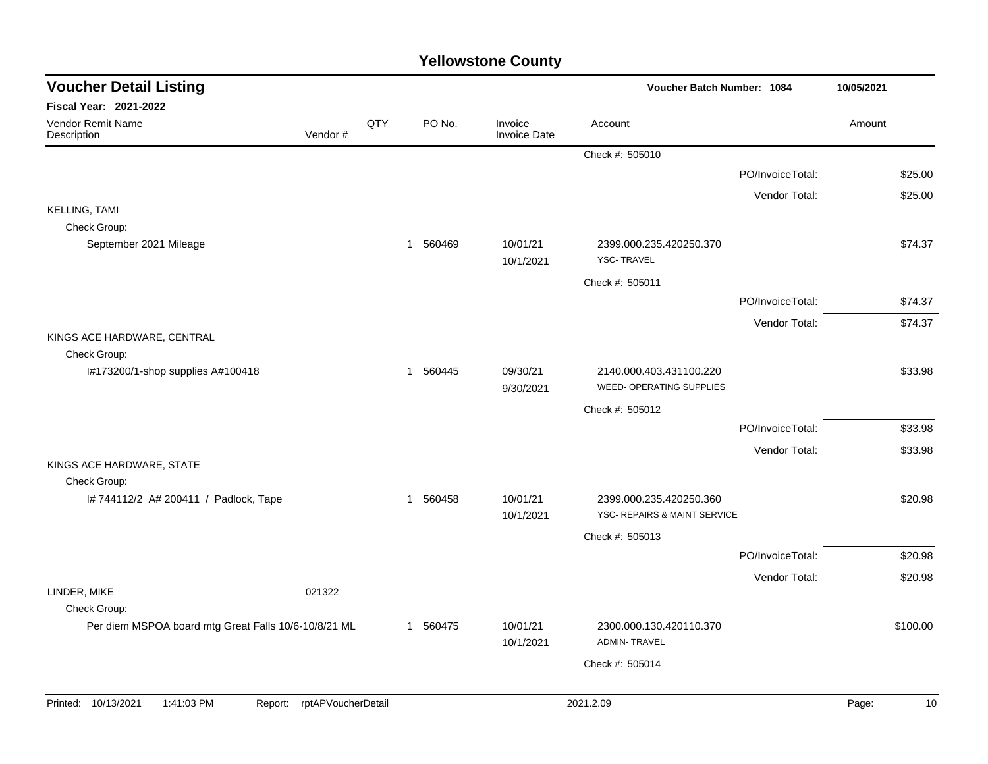| <b>Voucher Detail Listing</b>                                        |                    |     |          |                                | Voucher Batch Number: 1084                                 |                  |        |          |
|----------------------------------------------------------------------|--------------------|-----|----------|--------------------------------|------------------------------------------------------------|------------------|--------|----------|
| Fiscal Year: 2021-2022                                               |                    |     |          |                                |                                                            |                  |        |          |
| <b>Vendor Remit Name</b><br>Description                              | Vendor#            | QTY | PO No.   | Invoice<br><b>Invoice Date</b> | Account                                                    |                  | Amount |          |
|                                                                      |                    |     |          |                                | Check #: 505010                                            |                  |        |          |
|                                                                      |                    |     |          |                                |                                                            | PO/InvoiceTotal: |        | \$25.00  |
|                                                                      |                    |     |          |                                |                                                            | Vendor Total:    |        | \$25.00  |
| <b>KELLING, TAMI</b><br>Check Group:                                 |                    |     |          |                                |                                                            |                  |        |          |
| September 2021 Mileage                                               |                    |     | 1 560469 | 10/01/21<br>10/1/2021          | 2399.000.235.420250.370<br><b>YSC-TRAVEL</b>               |                  |        | \$74.37  |
|                                                                      |                    |     |          |                                | Check #: 505011                                            |                  |        |          |
|                                                                      |                    |     |          |                                |                                                            | PO/InvoiceTotal: |        | \$74.37  |
|                                                                      |                    |     |          |                                |                                                            | Vendor Total:    |        | \$74.37  |
| KINGS ACE HARDWARE, CENTRAL                                          |                    |     |          |                                |                                                            |                  |        |          |
| Check Group:                                                         |                    |     |          |                                |                                                            |                  |        |          |
| I#173200/1-shop supplies A#100418                                    |                    |     | 1 560445 | 09/30/21<br>9/30/2021          | 2140.000.403.431100.220<br><b>WEED- OPERATING SUPPLIES</b> |                  |        | \$33.98  |
|                                                                      |                    |     |          |                                | Check #: 505012                                            |                  |        |          |
|                                                                      |                    |     |          |                                |                                                            | PO/InvoiceTotal: |        | \$33.98  |
|                                                                      |                    |     |          |                                |                                                            | Vendor Total:    |        | \$33.98  |
| KINGS ACE HARDWARE, STATE                                            |                    |     |          |                                |                                                            |                  |        |          |
| Check Group:                                                         |                    |     |          |                                |                                                            |                  |        |          |
| #744112/2 A# 200411 / Padlock, Tape                                  |                    |     | 1 560458 | 10/01/21<br>10/1/2021          | 2399.000.235.420250.360<br>YSC- REPAIRS & MAINT SERVICE    |                  |        | \$20.98  |
|                                                                      |                    |     |          |                                | Check #: 505013                                            |                  |        |          |
|                                                                      |                    |     |          |                                |                                                            | PO/InvoiceTotal: |        | \$20.98  |
|                                                                      |                    |     |          |                                |                                                            | Vendor Total:    |        | \$20.98  |
| LINDER, MIKE                                                         | 021322             |     |          |                                |                                                            |                  |        |          |
| Check Group:<br>Per diem MSPOA board mtg Great Falls 10/6-10/8/21 ML |                    |     | 1 560475 | 10/01/21                       | 2300.000.130.420110.370                                    |                  |        | \$100.00 |
|                                                                      |                    |     |          | 10/1/2021                      | <b>ADMIN-TRAVEL</b>                                        |                  |        |          |
|                                                                      |                    |     |          |                                | Check #: 505014                                            |                  |        |          |
|                                                                      |                    |     |          |                                |                                                            |                  |        |          |
| Printed: 10/13/2021<br>1:41:03 PM<br>Report:                         | rptAPVoucherDetail |     |          |                                | 2021.2.09                                                  |                  | Page:  | 10       |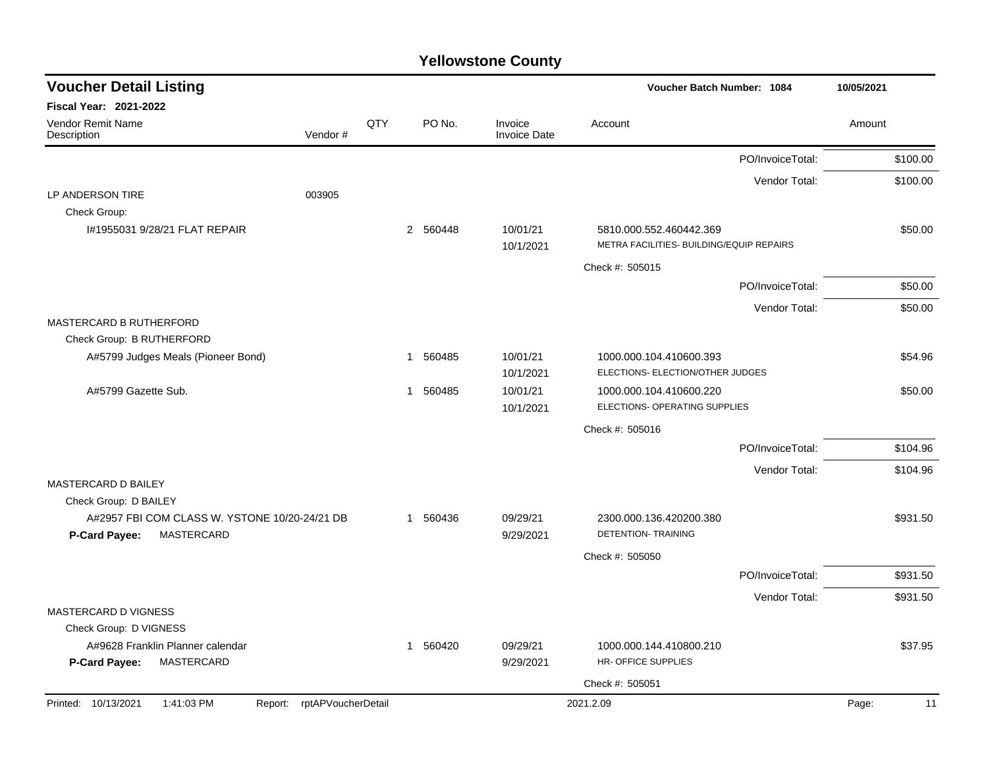| <b>Voucher Detail Listing</b>                                   |                            |     |             |        |                                | Voucher Batch Number: 1084                                          |                  | 10/05/2021 |          |
|-----------------------------------------------------------------|----------------------------|-----|-------------|--------|--------------------------------|---------------------------------------------------------------------|------------------|------------|----------|
| <b>Fiscal Year: 2021-2022</b>                                   |                            |     |             |        |                                |                                                                     |                  |            |          |
| Vendor Remit Name<br>Description                                | Vendor#                    | QTY |             | PO No. | Invoice<br><b>Invoice Date</b> | Account                                                             |                  | Amount     |          |
|                                                                 |                            |     |             |        |                                |                                                                     | PO/InvoiceTotal: |            | \$100.00 |
|                                                                 |                            |     |             |        |                                |                                                                     | Vendor Total:    |            | \$100.00 |
| LP ANDERSON TIRE                                                | 003905                     |     |             |        |                                |                                                                     |                  |            |          |
| Check Group:                                                    |                            |     |             |        |                                |                                                                     |                  |            |          |
| I#1955031 9/28/21 FLAT REPAIR                                   |                            |     | 2 560448    |        | 10/01/21<br>10/1/2021          | 5810.000.552.460442.369<br>METRA FACILITIES- BUILDING/EQUIP REPAIRS |                  |            | \$50.00  |
|                                                                 |                            |     |             |        |                                | Check #: 505015                                                     |                  |            |          |
|                                                                 |                            |     |             |        |                                |                                                                     | PO/InvoiceTotal: |            | \$50.00  |
|                                                                 |                            |     |             |        |                                |                                                                     | Vendor Total:    |            | \$50.00  |
| <b>MASTERCARD B RUTHERFORD</b>                                  |                            |     |             |        |                                |                                                                     |                  |            |          |
| Check Group: B RUTHERFORD                                       |                            |     |             |        |                                |                                                                     |                  |            |          |
| A#5799 Judges Meals (Pioneer Bond)                              |                            |     | -1          | 560485 | 10/01/21                       | 1000.000.104.410600.393                                             |                  |            | \$54.96  |
|                                                                 |                            |     |             |        | 10/1/2021                      | ELECTIONS- ELECTION/OTHER JUDGES                                    |                  |            |          |
| A#5799 Gazette Sub.                                             |                            |     | 1           | 560485 | 10/01/21                       | 1000.000.104.410600.220<br>ELECTIONS- OPERATING SUPPLIES            |                  |            | \$50.00  |
|                                                                 |                            |     |             |        | 10/1/2021                      |                                                                     |                  |            |          |
|                                                                 |                            |     |             |        |                                | Check #: 505016                                                     |                  |            |          |
|                                                                 |                            |     |             |        |                                |                                                                     | PO/InvoiceTotal: |            | \$104.96 |
| MASTERCARD D BAILEY                                             |                            |     |             |        |                                |                                                                     | Vendor Total:    |            | \$104.96 |
| Check Group: D BAILEY                                           |                            |     |             |        |                                |                                                                     |                  |            |          |
| A#2957 FBI COM CLASS W. YSTONE 10/20-24/21 DB                   |                            |     | 1 560436    |        | 09/29/21                       | 2300.000.136.420200.380                                             |                  |            | \$931.50 |
| MASTERCARD<br><b>P-Card Payee:</b>                              |                            |     |             |        | 9/29/2021                      | <b>DETENTION- TRAINING</b>                                          |                  |            |          |
|                                                                 |                            |     |             |        |                                | Check #: 505050                                                     |                  |            |          |
|                                                                 |                            |     |             |        |                                |                                                                     | PO/InvoiceTotal: |            | \$931.50 |
|                                                                 |                            |     |             |        |                                |                                                                     | Vendor Total:    |            | \$931.50 |
| <b>MASTERCARD D VIGNESS</b>                                     |                            |     |             |        |                                |                                                                     |                  |            |          |
| Check Group: D VIGNESS                                          |                            |     |             |        |                                |                                                                     |                  |            |          |
| A#9628 Franklin Planner calendar<br>MASTERCARD<br>P-Card Payee: |                            |     | $\mathbf 1$ | 560420 | 09/29/21<br>9/29/2021          | 1000.000.144.410800.210<br>HR-OFFICE SUPPLIES                       |                  |            | \$37.95  |
|                                                                 |                            |     |             |        |                                | Check #: 505051                                                     |                  |            |          |
| Printed: 10/13/2021<br>1:41:03 PM                               | Report: rptAPVoucherDetail |     |             |        |                                | 2021.2.09                                                           |                  | Page:      | 11       |
|                                                                 |                            |     |             |        |                                |                                                                     |                  |            |          |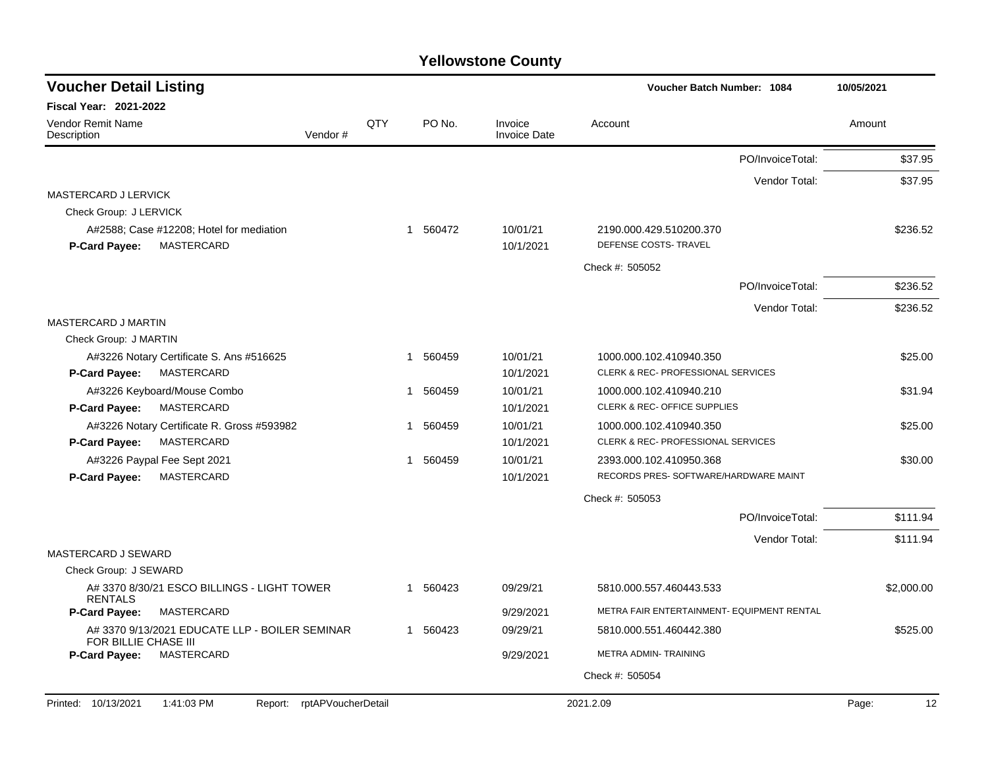| <b>Voucher Detail Listing</b>                                                  |     |             |                                | Voucher Batch Number: 1084                       | 10/05/2021  |
|--------------------------------------------------------------------------------|-----|-------------|--------------------------------|--------------------------------------------------|-------------|
| <b>Fiscal Year: 2021-2022</b>                                                  |     |             |                                |                                                  |             |
| <b>Vendor Remit Name</b><br>Description<br>Vendor#                             | QTY | PO No.      | Invoice<br><b>Invoice Date</b> | Account                                          | Amount      |
|                                                                                |     |             |                                | PO/InvoiceTotal:                                 | \$37.95     |
|                                                                                |     |             |                                | Vendor Total:                                    | \$37.95     |
| MASTERCARD J LERVICK                                                           |     |             |                                |                                                  |             |
| Check Group: J LERVICK                                                         |     |             |                                |                                                  |             |
| A#2588; Case #12208; Hotel for mediation<br>MASTERCARD<br><b>P-Card Payee:</b> |     | 1 560472    | 10/01/21<br>10/1/2021          | 2190.000.429.510200.370<br>DEFENSE COSTS- TRAVEL | \$236.52    |
|                                                                                |     |             |                                | Check #: 505052                                  |             |
|                                                                                |     |             |                                | PO/InvoiceTotal:                                 | \$236.52    |
|                                                                                |     |             |                                | Vendor Total:                                    | \$236.52    |
| MASTERCARD J MARTIN                                                            |     |             |                                |                                                  |             |
| Check Group: J MARTIN                                                          |     |             |                                |                                                  |             |
| A#3226 Notary Certificate S. Ans #516625                                       |     | 1 560459    | 10/01/21                       | 1000.000.102.410940.350                          | \$25.00     |
| MASTERCARD<br><b>P-Card Payee:</b>                                             |     |             | 10/1/2021                      | CLERK & REC- PROFESSIONAL SERVICES               |             |
| A#3226 Keyboard/Mouse Combo                                                    |     | 1 560459    | 10/01/21                       | 1000.000.102.410940.210                          | \$31.94     |
| MASTERCARD<br><b>P-Card Payee:</b>                                             |     |             | 10/1/2021                      | <b>CLERK &amp; REC- OFFICE SUPPLIES</b>          |             |
| A#3226 Notary Certificate R. Gross #593982                                     |     | 560459<br>1 | 10/01/21                       | 1000.000.102.410940.350                          | \$25.00     |
| MASTERCARD<br>P-Card Payee:                                                    |     |             | 10/1/2021                      | CLERK & REC- PROFESSIONAL SERVICES               |             |
| A#3226 Paypal Fee Sept 2021                                                    |     | 1 560459    | 10/01/21                       | 2393.000.102.410950.368                          | \$30.00     |
| <b>MASTERCARD</b><br>P-Card Payee:                                             |     |             | 10/1/2021                      | RECORDS PRES- SOFTWARE/HARDWARE MAINT            |             |
|                                                                                |     |             |                                | Check #: 505053                                  |             |
|                                                                                |     |             |                                | PO/InvoiceTotal:                                 | \$111.94    |
| MASTERCARD J SEWARD                                                            |     |             |                                | Vendor Total:                                    | \$111.94    |
| Check Group: J SEWARD                                                          |     |             |                                |                                                  |             |
| A# 3370 8/30/21 ESCO BILLINGS - LIGHT TOWER                                    |     | 1 560423    | 09/29/21                       | 5810.000.557.460443.533                          | \$2,000.00  |
| <b>RENTALS</b>                                                                 |     |             |                                |                                                  |             |
| <b>P-Card Payee:</b><br>MASTERCARD                                             |     |             | 9/29/2021                      | METRA FAIR ENTERTAINMENT- EQUIPMENT RENTAL       |             |
| A# 3370 9/13/2021 EDUCATE LLP - BOILER SEMINAR<br>FOR BILLIE CHASE III         |     | 1 560423    | 09/29/21                       | 5810.000.551.460442.380                          | \$525.00    |
| MASTERCARD<br><b>P-Card Payee:</b>                                             |     |             | 9/29/2021                      | METRA ADMIN- TRAINING                            |             |
|                                                                                |     |             |                                | Check #: 505054                                  |             |
| rptAPVoucherDetail<br>Printed: 10/13/2021<br>1:41:03 PM<br>Report:             |     |             |                                | 2021.2.09                                        | 12<br>Page: |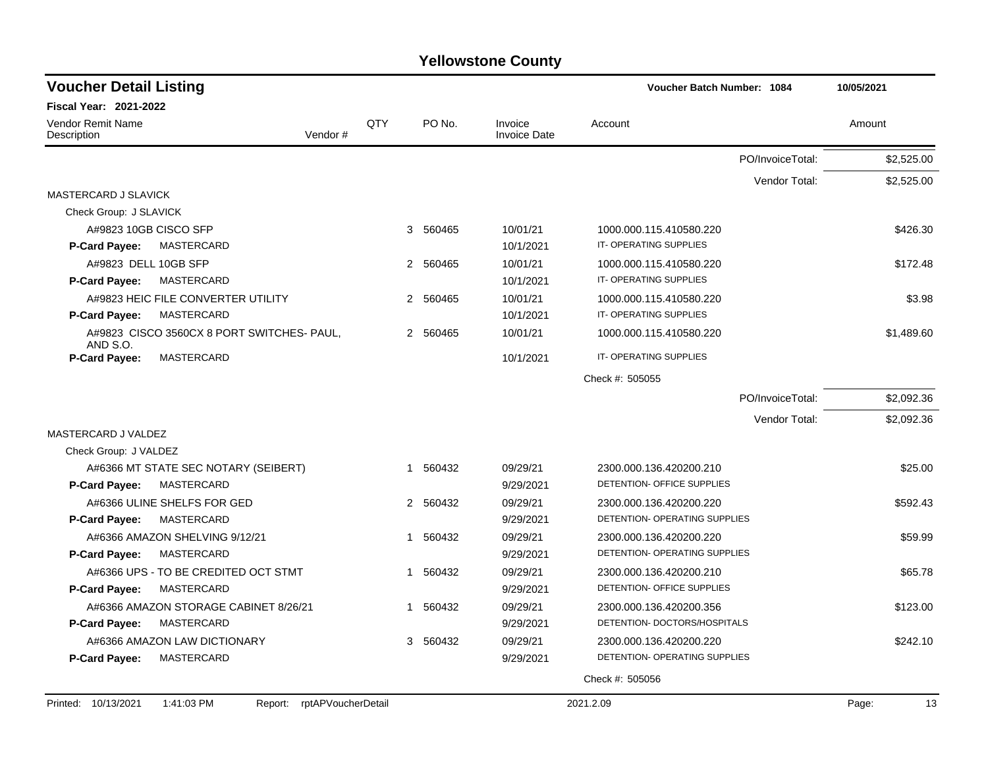| <b>Voucher Detail Listing</b>           |                                            |                    |             |                                | Voucher Batch Number: 1084    |                  | 10/05/2021  |
|-----------------------------------------|--------------------------------------------|--------------------|-------------|--------------------------------|-------------------------------|------------------|-------------|
| Fiscal Year: 2021-2022                  |                                            |                    |             |                                |                               |                  |             |
| <b>Vendor Remit Name</b><br>Description | Vendor#                                    | QTY                | PO No.      | Invoice<br><b>Invoice Date</b> | Account                       |                  | Amount      |
|                                         |                                            |                    |             |                                |                               | PO/InvoiceTotal: | \$2,525.00  |
|                                         |                                            |                    |             |                                |                               | Vendor Total:    | \$2,525.00  |
| MASTERCARD J SLAVICK                    |                                            |                    |             |                                |                               |                  |             |
| Check Group: J SLAVICK                  |                                            |                    |             |                                |                               |                  |             |
| A#9823 10GB CISCO SFP                   |                                            |                    | 3 560465    | 10/01/21                       | 1000.000.115.410580.220       |                  | \$426.30    |
| <b>P-Card Payee:</b>                    | MASTERCARD                                 |                    |             | 10/1/2021                      | IT-OPERATING SUPPLIES         |                  |             |
| A#9823 DELL 10GB SFP                    |                                            |                    | 2 560465    | 10/01/21                       | 1000.000.115.410580.220       |                  | \$172.48    |
| <b>P-Card Payee:</b>                    | MASTERCARD                                 |                    |             | 10/1/2021                      | IT-OPERATING SUPPLIES         |                  |             |
|                                         | A#9823 HEIC FILE CONVERTER UTILITY         |                    | 2 560465    | 10/01/21                       | 1000.000.115.410580.220       |                  | \$3.98      |
| P-Card Payee:                           | MASTERCARD                                 |                    |             | 10/1/2021                      | IT-OPERATING SUPPLIES         |                  |             |
| AND S.O.                                | A#9823 CISCO 3560CX 8 PORT SWITCHES- PAUL, |                    | 2 560465    | 10/01/21                       | 1000.000.115.410580.220       |                  | \$1,489.60  |
| P-Card Payee:                           | MASTERCARD                                 |                    |             | 10/1/2021                      | IT-OPERATING SUPPLIES         |                  |             |
|                                         |                                            |                    |             |                                | Check #: 505055               |                  |             |
|                                         |                                            |                    |             |                                |                               | PO/InvoiceTotal: | \$2,092.36  |
|                                         |                                            |                    |             |                                |                               | Vendor Total:    | \$2,092.36  |
| MASTERCARD J VALDEZ                     |                                            |                    |             |                                |                               |                  |             |
| Check Group: J VALDEZ                   |                                            |                    |             |                                |                               |                  |             |
|                                         | A#6366 MT STATE SEC NOTARY (SEIBERT)       |                    | 1 560432    | 09/29/21                       | 2300.000.136.420200.210       |                  | \$25.00     |
| <b>P-Card Payee:</b>                    | MASTERCARD                                 |                    |             | 9/29/2021                      | DETENTION- OFFICE SUPPLIES    |                  |             |
|                                         | A#6366 ULINE SHELFS FOR GED                |                    | 2 560432    | 09/29/21                       | 2300.000.136.420200.220       |                  | \$592.43    |
| <b>P-Card Payee:</b>                    | <b>MASTERCARD</b>                          |                    |             | 9/29/2021                      | DETENTION- OPERATING SUPPLIES |                  |             |
|                                         | A#6366 AMAZON SHELVING 9/12/21             |                    | 1 560432    | 09/29/21                       | 2300.000.136.420200.220       |                  | \$59.99     |
| <b>P-Card Payee:</b>                    | <b>MASTERCARD</b>                          |                    |             | 9/29/2021                      | DETENTION- OPERATING SUPPLIES |                  |             |
|                                         | A#6366 UPS - TO BE CREDITED OCT STMT       |                    | 1 560432    | 09/29/21                       | 2300.000.136.420200.210       |                  | \$65.78     |
| P-Card Payee:                           | MASTERCARD                                 |                    |             | 9/29/2021                      | DETENTION- OFFICE SUPPLIES    |                  |             |
|                                         | A#6366 AMAZON STORAGE CABINET 8/26/21      |                    | 560432<br>1 | 09/29/21                       | 2300.000.136.420200.356       |                  | \$123.00    |
| <b>P-Card Payee:</b>                    | MASTERCARD                                 |                    |             | 9/29/2021                      | DETENTION- DOCTORS/HOSPITALS  |                  |             |
|                                         | A#6366 AMAZON LAW DICTIONARY               |                    | 560432<br>3 | 09/29/21                       | 2300.000.136.420200.220       |                  | \$242.10    |
| <b>P-Card Payee:</b>                    | MASTERCARD                                 |                    |             | 9/29/2021                      | DETENTION- OPERATING SUPPLIES |                  |             |
|                                         |                                            |                    |             |                                | Check #: 505056               |                  |             |
|                                         |                                            |                    |             |                                |                               |                  |             |
| Printed: 10/13/2021                     | 1:41:03 PM<br>Report:                      | rptAPVoucherDetail |             |                                | 2021.2.09                     |                  | Page:<br>13 |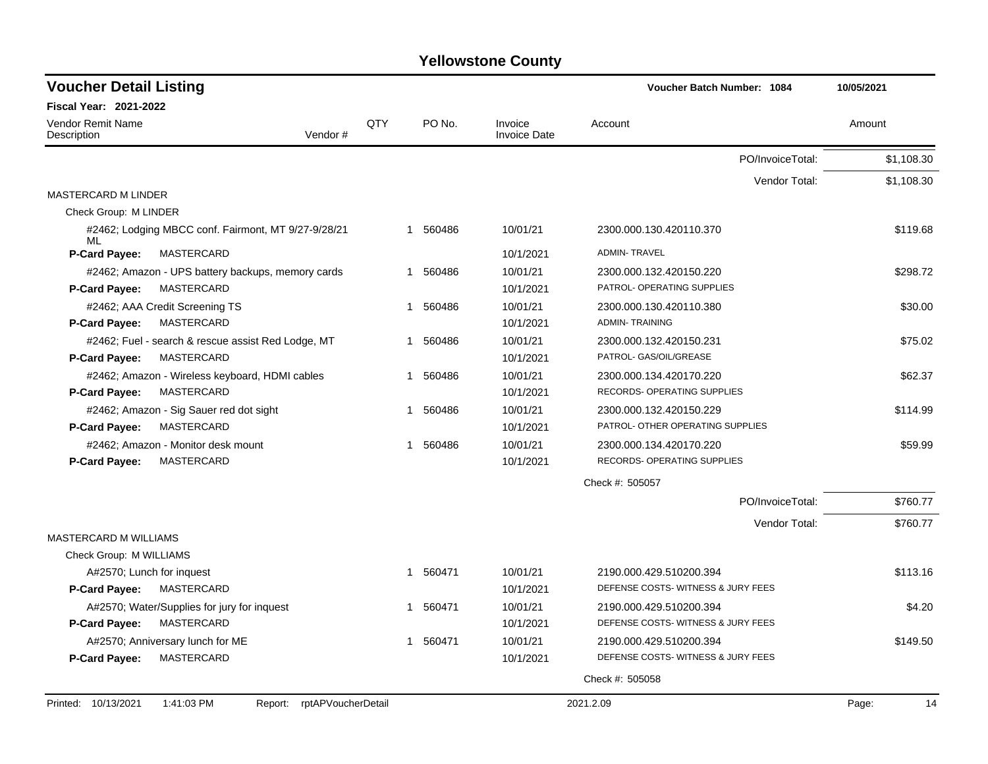| <b>Fiscal Year: 2021-2022</b><br>QTY<br>PO No.<br><b>Vendor Remit Name</b><br>Invoice<br>Amount<br>Account<br>Vendor#<br><b>Invoice Date</b><br>Description<br>PO/InvoiceTotal:<br>Vendor Total:<br><b>MASTERCARD M LINDER</b><br>Check Group: M LINDER<br>10/01/21<br>#2462; Lodging MBCC conf. Fairmont, MT 9/27-9/28/21<br>1 560486<br>2300.000.130.420110.370<br>ML<br>P-Card Payee:<br>MASTERCARD<br>10/1/2021<br><b>ADMIN-TRAVEL</b><br>10/01/21<br>#2462; Amazon - UPS battery backups, memory cards<br>1 560486<br>2300.000.132.420150.220<br>PATROL- OPERATING SUPPLIES<br><b>P-Card Payee:</b><br>MASTERCARD<br>10/1/2021<br>#2462; AAA Credit Screening TS<br>10/01/21<br>1 560486<br>2300.000.130.420110.380<br><b>ADMIN-TRAINING</b><br><b>P-Card Payee:</b><br>MASTERCARD<br>10/1/2021<br>#2462; Fuel - search & rescue assist Red Lodge, MT<br>1 560486<br>10/01/21<br>2300.000.132.420150.231<br>PATROL- GAS/OIL/GREASE<br><b>P-Card Payee:</b><br>MASTERCARD<br>10/1/2021<br>#2462; Amazon - Wireless keyboard, HDMI cables<br>1 560486<br>10/01/21<br>2300.000.134.420170.220<br>MASTERCARD<br>10/1/2021<br>RECORDS- OPERATING SUPPLIES<br><b>P-Card Payee:</b><br>#2462; Amazon - Sig Sauer red dot sight<br>10/01/21<br>1 560486<br>2300.000.132.420150.229<br><b>MASTERCARD</b><br>10/1/2021<br>PATROL- OTHER OPERATING SUPPLIES<br><b>P-Card Payee:</b><br>1 560486 | 10/05/2021 | Voucher Batch Number: 1084 |          |  | <b>Voucher Detail Listing</b>      |
|-------------------------------------------------------------------------------------------------------------------------------------------------------------------------------------------------------------------------------------------------------------------------------------------------------------------------------------------------------------------------------------------------------------------------------------------------------------------------------------------------------------------------------------------------------------------------------------------------------------------------------------------------------------------------------------------------------------------------------------------------------------------------------------------------------------------------------------------------------------------------------------------------------------------------------------------------------------------------------------------------------------------------------------------------------------------------------------------------------------------------------------------------------------------------------------------------------------------------------------------------------------------------------------------------------------------------------------------------------------------------------------------|------------|----------------------------|----------|--|------------------------------------|
|                                                                                                                                                                                                                                                                                                                                                                                                                                                                                                                                                                                                                                                                                                                                                                                                                                                                                                                                                                                                                                                                                                                                                                                                                                                                                                                                                                                           |            |                            |          |  |                                    |
|                                                                                                                                                                                                                                                                                                                                                                                                                                                                                                                                                                                                                                                                                                                                                                                                                                                                                                                                                                                                                                                                                                                                                                                                                                                                                                                                                                                           |            |                            |          |  |                                    |
|                                                                                                                                                                                                                                                                                                                                                                                                                                                                                                                                                                                                                                                                                                                                                                                                                                                                                                                                                                                                                                                                                                                                                                                                                                                                                                                                                                                           | \$1,108.30 |                            |          |  |                                    |
|                                                                                                                                                                                                                                                                                                                                                                                                                                                                                                                                                                                                                                                                                                                                                                                                                                                                                                                                                                                                                                                                                                                                                                                                                                                                                                                                                                                           | \$1,108.30 |                            |          |  |                                    |
|                                                                                                                                                                                                                                                                                                                                                                                                                                                                                                                                                                                                                                                                                                                                                                                                                                                                                                                                                                                                                                                                                                                                                                                                                                                                                                                                                                                           |            |                            |          |  |                                    |
|                                                                                                                                                                                                                                                                                                                                                                                                                                                                                                                                                                                                                                                                                                                                                                                                                                                                                                                                                                                                                                                                                                                                                                                                                                                                                                                                                                                           |            |                            |          |  |                                    |
|                                                                                                                                                                                                                                                                                                                                                                                                                                                                                                                                                                                                                                                                                                                                                                                                                                                                                                                                                                                                                                                                                                                                                                                                                                                                                                                                                                                           | \$119.68   |                            |          |  |                                    |
|                                                                                                                                                                                                                                                                                                                                                                                                                                                                                                                                                                                                                                                                                                                                                                                                                                                                                                                                                                                                                                                                                                                                                                                                                                                                                                                                                                                           |            |                            |          |  |                                    |
|                                                                                                                                                                                                                                                                                                                                                                                                                                                                                                                                                                                                                                                                                                                                                                                                                                                                                                                                                                                                                                                                                                                                                                                                                                                                                                                                                                                           | \$298.72   |                            |          |  |                                    |
|                                                                                                                                                                                                                                                                                                                                                                                                                                                                                                                                                                                                                                                                                                                                                                                                                                                                                                                                                                                                                                                                                                                                                                                                                                                                                                                                                                                           |            |                            |          |  |                                    |
|                                                                                                                                                                                                                                                                                                                                                                                                                                                                                                                                                                                                                                                                                                                                                                                                                                                                                                                                                                                                                                                                                                                                                                                                                                                                                                                                                                                           | \$30.00    |                            |          |  |                                    |
|                                                                                                                                                                                                                                                                                                                                                                                                                                                                                                                                                                                                                                                                                                                                                                                                                                                                                                                                                                                                                                                                                                                                                                                                                                                                                                                                                                                           |            |                            |          |  |                                    |
|                                                                                                                                                                                                                                                                                                                                                                                                                                                                                                                                                                                                                                                                                                                                                                                                                                                                                                                                                                                                                                                                                                                                                                                                                                                                                                                                                                                           | \$75.02    |                            |          |  |                                    |
|                                                                                                                                                                                                                                                                                                                                                                                                                                                                                                                                                                                                                                                                                                                                                                                                                                                                                                                                                                                                                                                                                                                                                                                                                                                                                                                                                                                           |            |                            |          |  |                                    |
|                                                                                                                                                                                                                                                                                                                                                                                                                                                                                                                                                                                                                                                                                                                                                                                                                                                                                                                                                                                                                                                                                                                                                                                                                                                                                                                                                                                           | \$62.37    |                            |          |  |                                    |
|                                                                                                                                                                                                                                                                                                                                                                                                                                                                                                                                                                                                                                                                                                                                                                                                                                                                                                                                                                                                                                                                                                                                                                                                                                                                                                                                                                                           |            |                            |          |  |                                    |
|                                                                                                                                                                                                                                                                                                                                                                                                                                                                                                                                                                                                                                                                                                                                                                                                                                                                                                                                                                                                                                                                                                                                                                                                                                                                                                                                                                                           | \$114.99   |                            |          |  |                                    |
|                                                                                                                                                                                                                                                                                                                                                                                                                                                                                                                                                                                                                                                                                                                                                                                                                                                                                                                                                                                                                                                                                                                                                                                                                                                                                                                                                                                           |            |                            |          |  |                                    |
|                                                                                                                                                                                                                                                                                                                                                                                                                                                                                                                                                                                                                                                                                                                                                                                                                                                                                                                                                                                                                                                                                                                                                                                                                                                                                                                                                                                           | \$59.99    | 2300.000.134.420170.220    | 10/01/21 |  | #2462; Amazon - Monitor desk mount |
| RECORDS- OPERATING SUPPLIES<br><b>P-Card Payee:</b><br>MASTERCARD<br>10/1/2021                                                                                                                                                                                                                                                                                                                                                                                                                                                                                                                                                                                                                                                                                                                                                                                                                                                                                                                                                                                                                                                                                                                                                                                                                                                                                                            |            |                            |          |  |                                    |
| Check #: 505057                                                                                                                                                                                                                                                                                                                                                                                                                                                                                                                                                                                                                                                                                                                                                                                                                                                                                                                                                                                                                                                                                                                                                                                                                                                                                                                                                                           |            |                            |          |  |                                    |
| PO/InvoiceTotal:                                                                                                                                                                                                                                                                                                                                                                                                                                                                                                                                                                                                                                                                                                                                                                                                                                                                                                                                                                                                                                                                                                                                                                                                                                                                                                                                                                          | \$760.77   |                            |          |  |                                    |
| Vendor Total:                                                                                                                                                                                                                                                                                                                                                                                                                                                                                                                                                                                                                                                                                                                                                                                                                                                                                                                                                                                                                                                                                                                                                                                                                                                                                                                                                                             | \$760.77   |                            |          |  |                                    |
| MASTERCARD M WILLIAMS<br>Check Group: M WILLIAMS                                                                                                                                                                                                                                                                                                                                                                                                                                                                                                                                                                                                                                                                                                                                                                                                                                                                                                                                                                                                                                                                                                                                                                                                                                                                                                                                          |            |                            |          |  |                                    |
| 1 560471<br>10/01/21<br>2190.000.429.510200.394<br>A#2570; Lunch for inquest                                                                                                                                                                                                                                                                                                                                                                                                                                                                                                                                                                                                                                                                                                                                                                                                                                                                                                                                                                                                                                                                                                                                                                                                                                                                                                              | \$113.16   |                            |          |  |                                    |
| DEFENSE COSTS-WITNESS & JURY FEES<br><b>P-Card Payee:</b><br>MASTERCARD<br>10/1/2021                                                                                                                                                                                                                                                                                                                                                                                                                                                                                                                                                                                                                                                                                                                                                                                                                                                                                                                                                                                                                                                                                                                                                                                                                                                                                                      |            |                            |          |  |                                    |
| A#2570; Water/Supplies for jury for inquest<br>1 560471<br>10/01/21<br>2190.000.429.510200.394                                                                                                                                                                                                                                                                                                                                                                                                                                                                                                                                                                                                                                                                                                                                                                                                                                                                                                                                                                                                                                                                                                                                                                                                                                                                                            | \$4.20     |                            |          |  |                                    |
| MASTERCARD<br>10/1/2021<br>DEFENSE COSTS-WITNESS & JURY FEES<br><b>P-Card Payee:</b>                                                                                                                                                                                                                                                                                                                                                                                                                                                                                                                                                                                                                                                                                                                                                                                                                                                                                                                                                                                                                                                                                                                                                                                                                                                                                                      |            |                            |          |  |                                    |
| 10/01/21<br>A#2570; Anniversary lunch for ME<br>1 560471<br>2190.000.429.510200.394                                                                                                                                                                                                                                                                                                                                                                                                                                                                                                                                                                                                                                                                                                                                                                                                                                                                                                                                                                                                                                                                                                                                                                                                                                                                                                       | \$149.50   |                            |          |  |                                    |
| MASTERCARD<br>10/1/2021<br>DEFENSE COSTS-WITNESS & JURY FEES<br><b>P-Card Payee:</b>                                                                                                                                                                                                                                                                                                                                                                                                                                                                                                                                                                                                                                                                                                                                                                                                                                                                                                                                                                                                                                                                                                                                                                                                                                                                                                      |            |                            |          |  |                                    |
| Check #: 505058                                                                                                                                                                                                                                                                                                                                                                                                                                                                                                                                                                                                                                                                                                                                                                                                                                                                                                                                                                                                                                                                                                                                                                                                                                                                                                                                                                           |            |                            |          |  |                                    |
| Report: rptAPVoucherDetail<br>Printed: 10/13/2021<br>1:41:03 PM<br>2021.2.09<br>Page:                                                                                                                                                                                                                                                                                                                                                                                                                                                                                                                                                                                                                                                                                                                                                                                                                                                                                                                                                                                                                                                                                                                                                                                                                                                                                                     | 14         |                            |          |  |                                    |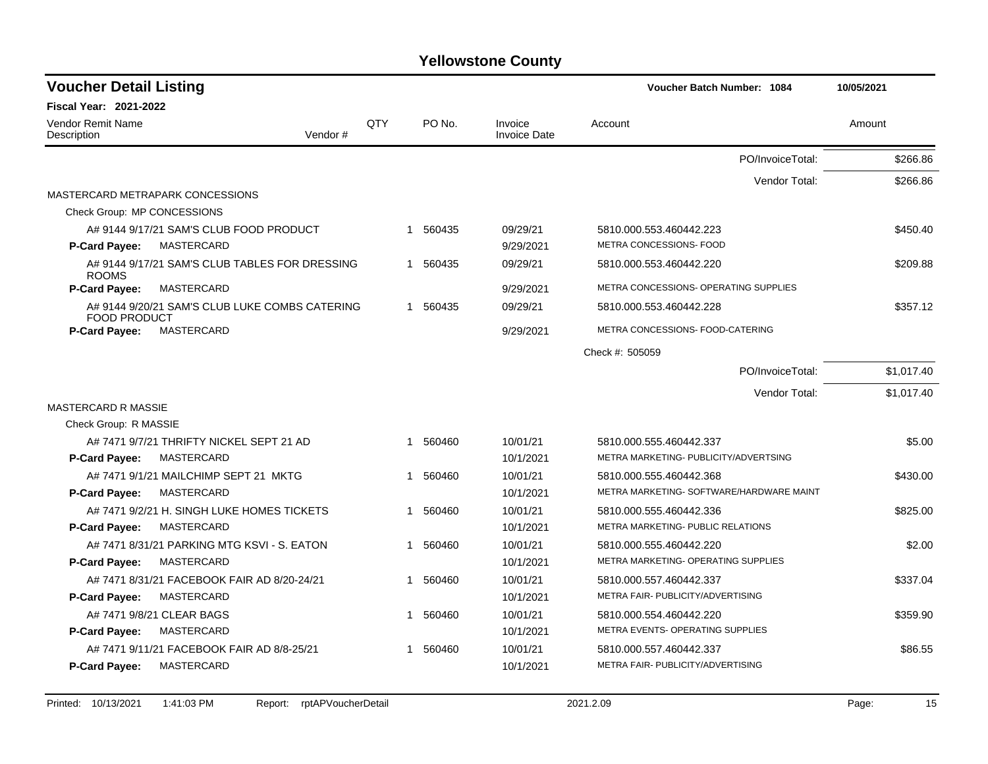| <b>Voucher Detail Listing</b>                                         |     |             |                                | <b>Voucher Batch Number: 1084</b>                  | 10/05/2021 |
|-----------------------------------------------------------------------|-----|-------------|--------------------------------|----------------------------------------------------|------------|
| <b>Fiscal Year: 2021-2022</b>                                         |     |             |                                |                                                    |            |
| Vendor Remit Name<br>Vendor#<br>Description                           | QTY | PO No.      | Invoice<br><b>Invoice Date</b> | Account                                            | Amount     |
|                                                                       |     |             |                                | PO/InvoiceTotal:                                   | \$266.86   |
|                                                                       |     |             |                                | Vendor Total:                                      | \$266.86   |
| MASTERCARD METRAPARK CONCESSIONS                                      |     |             |                                |                                                    |            |
| Check Group: MP CONCESSIONS                                           |     |             |                                |                                                    |            |
| A# 9144 9/17/21 SAM'S CLUB FOOD PRODUCT                               |     | 560435<br>1 | 09/29/21                       | 5810.000.553.460442.223<br>METRA CONCESSIONS- FOOD | \$450.40   |
| MASTERCARD<br>P-Card Payee:                                           |     |             | 9/29/2021                      |                                                    |            |
| A# 9144 9/17/21 SAM'S CLUB TABLES FOR DRESSING<br><b>ROOMS</b>        |     | 1 560435    | 09/29/21                       | 5810.000.553.460442.220                            | \$209.88   |
| <b>P-Card Payee:</b><br>MASTERCARD                                    |     |             | 9/29/2021                      | METRA CONCESSIONS- OPERATING SUPPLIES              |            |
| A# 9144 9/20/21 SAM'S CLUB LUKE COMBS CATERING<br><b>FOOD PRODUCT</b> |     | 1 560435    | 09/29/21                       | 5810.000.553.460442.228                            | \$357.12   |
| <b>P-Card Payee:</b><br>MASTERCARD                                    |     |             | 9/29/2021                      | METRA CONCESSIONS- FOOD-CATERING                   |            |
|                                                                       |     |             |                                | Check #: 505059                                    |            |
|                                                                       |     |             |                                | PO/InvoiceTotal:                                   | \$1,017.40 |
|                                                                       |     |             |                                | Vendor Total:                                      | \$1,017.40 |
| <b>MASTERCARD R MASSIE</b>                                            |     |             |                                |                                                    |            |
| Check Group: R MASSIE                                                 |     |             |                                |                                                    |            |
| A# 7471 9/7/21 THRIFTY NICKEL SEPT 21 AD                              |     | 1 560460    | 10/01/21                       | 5810.000.555.460442.337                            | \$5.00     |
| <b>P-Card Payee:</b><br>MASTERCARD                                    |     |             | 10/1/2021                      | METRA MARKETING- PUBLICITY/ADVERTSING              |            |
| A# 7471 9/1/21 MAILCHIMP SEPT 21 MKTG                                 |     | 1 560460    | 10/01/21                       | 5810.000.555.460442.368                            | \$430.00   |
| P-Card Payee:<br>MASTERCARD                                           |     |             | 10/1/2021                      | METRA MARKETING- SOFTWARE/HARDWARE MAINT           |            |
| A# 7471 9/2/21 H. SINGH LUKE HOMES TICKETS                            |     | 560460<br>1 | 10/01/21                       | 5810.000.555.460442.336                            | \$825.00   |
| P-Card Payee:<br>MASTERCARD                                           |     |             | 10/1/2021                      | METRA MARKETING- PUBLIC RELATIONS                  |            |
| A# 7471 8/31/21 PARKING MTG KSVI - S. EATON                           |     | 560460<br>1 | 10/01/21                       | 5810.000.555.460442.220                            | \$2.00     |
| P-Card Payee:<br>MASTERCARD                                           |     |             | 10/1/2021                      | METRA MARKETING- OPERATING SUPPLIES                |            |
| A# 7471 8/31/21 FACEBOOK FAIR AD 8/20-24/21                           |     | 1 560460    | 10/01/21                       | 5810.000.557.460442.337                            | \$337.04   |
| <b>P-Card Payee:</b><br>MASTERCARD                                    |     |             | 10/1/2021                      | METRA FAIR- PUBLICITY/ADVERTISING                  |            |
| A# 7471 9/8/21 CLEAR BAGS                                             |     | 560460<br>1 | 10/01/21                       | 5810.000.554.460442.220                            | \$359.90   |
| P-Card Payee:<br>MASTERCARD                                           |     |             | 10/1/2021                      | METRA EVENTS- OPERATING SUPPLIES                   |            |
| A# 7471 9/11/21 FACEBOOK FAIR AD 8/8-25/21                            |     | 560460      | 10/01/21                       | 5810.000.557.460442.337                            | \$86.55    |
| MASTERCARD<br><b>P-Card Payee:</b>                                    |     |             | 10/1/2021                      | METRA FAIR- PUBLICITY/ADVERTISING                  |            |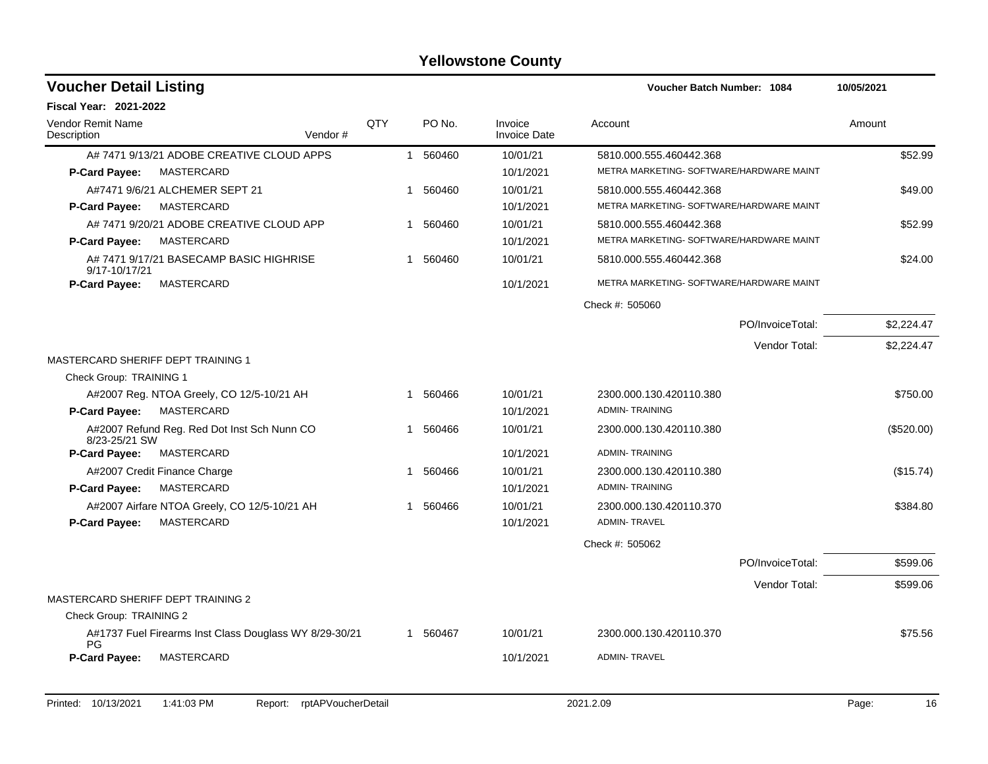| <b>Voucher Detail Listing</b>                                 |     |          |                                | <b>Voucher Batch Number: 1084</b>        | 10/05/2021 |
|---------------------------------------------------------------|-----|----------|--------------------------------|------------------------------------------|------------|
| Fiscal Year: 2021-2022                                        |     |          |                                |                                          |            |
| <b>Vendor Remit Name</b><br>Description<br>Vendor#            | QTY | PO No.   | Invoice<br><b>Invoice Date</b> | Account                                  | Amount     |
| A# 7471 9/13/21 ADOBE CREATIVE CLOUD APPS                     |     | 1 560460 | 10/01/21                       | 5810.000.555.460442.368                  | \$52.99    |
| <b>MASTERCARD</b><br><b>P-Card Payee:</b>                     |     |          | 10/1/2021                      | METRA MARKETING- SOFTWARE/HARDWARE MAINT |            |
| A#7471 9/6/21 ALCHEMER SEPT 21                                | 1   | 560460   | 10/01/21                       | 5810.000.555.460442.368                  | \$49.00    |
| MASTERCARD<br><b>P-Card Payee:</b>                            |     |          | 10/1/2021                      | METRA MARKETING- SOFTWARE/HARDWARE MAINT |            |
| A# 7471 9/20/21 ADOBE CREATIVE CLOUD APP                      |     | 560460   | 10/01/21                       | 5810.000.555.460442.368                  | \$52.99    |
| <b>MASTERCARD</b><br>P-Card Payee:                            |     |          | 10/1/2021                      | METRA MARKETING- SOFTWARE/HARDWARE MAINT |            |
| A# 7471 9/17/21 BASECAMP BASIC HIGHRISE<br>9/17-10/17/21      | 1   | 560460   | 10/01/21                       | 5810.000.555.460442.368                  | \$24.00    |
| <b>P-Card Payee:</b><br>MASTERCARD                            |     |          | 10/1/2021                      | METRA MARKETING- SOFTWARE/HARDWARE MAINT |            |
|                                                               |     |          |                                | Check #: 505060                          |            |
|                                                               |     |          |                                | PO/InvoiceTotal:                         | \$2,224.47 |
|                                                               |     |          |                                | Vendor Total:                            | \$2,224.47 |
| MASTERCARD SHERIFF DEPT TRAINING 1                            |     |          |                                |                                          |            |
| Check Group: TRAINING 1                                       |     |          |                                |                                          |            |
| A#2007 Reg. NTOA Greely, CO 12/5-10/21 AH                     | 1   | 560466   | 10/01/21                       | 2300.000.130.420110.380                  | \$750.00   |
| P-Card Payee:<br>MASTERCARD                                   |     |          | 10/1/2021                      | <b>ADMIN-TRAINING</b>                    |            |
| A#2007 Refund Reg. Red Dot Inst Sch Nunn CO<br>8/23-25/21 SW  | 1   | 560466   | 10/01/21                       | 2300.000.130.420110.380                  | (\$520.00) |
| <b>P-Card Payee:</b><br>MASTERCARD                            |     |          | 10/1/2021                      | <b>ADMIN-TRAINING</b>                    |            |
| A#2007 Credit Finance Charge                                  | 1   | 560466   | 10/01/21                       | 2300.000.130.420110.380                  | (\$15.74)  |
| P-Card Payee:<br><b>MASTERCARD</b>                            |     |          | 10/1/2021                      | <b>ADMIN-TRAINING</b>                    |            |
| A#2007 Airfare NTOA Greely, CO 12/5-10/21 AH                  |     | 560466   | 10/01/21                       | 2300.000.130.420110.370                  | \$384.80   |
| P-Card Payee:<br>MASTERCARD                                   |     |          | 10/1/2021                      | <b>ADMIN-TRAVEL</b>                      |            |
|                                                               |     |          |                                | Check #: 505062                          |            |
|                                                               |     |          |                                | PO/InvoiceTotal:                         | \$599.06   |
|                                                               |     |          |                                | Vendor Total:                            | \$599.06   |
| MASTERCARD SHERIFF DEPT TRAINING 2                            |     |          |                                |                                          |            |
| Check Group: TRAINING 2                                       |     |          |                                |                                          |            |
| A#1737 Fuel Firearms Inst Class Douglass WY 8/29-30/21<br>PG. |     | 1 560467 | 10/01/21                       | 2300.000.130.420110.370                  | \$75.56    |
| P-Card Payee:<br><b>MASTERCARD</b>                            |     |          | 10/1/2021                      | <b>ADMIN-TRAVEL</b>                      |            |
|                                                               |     |          |                                |                                          |            |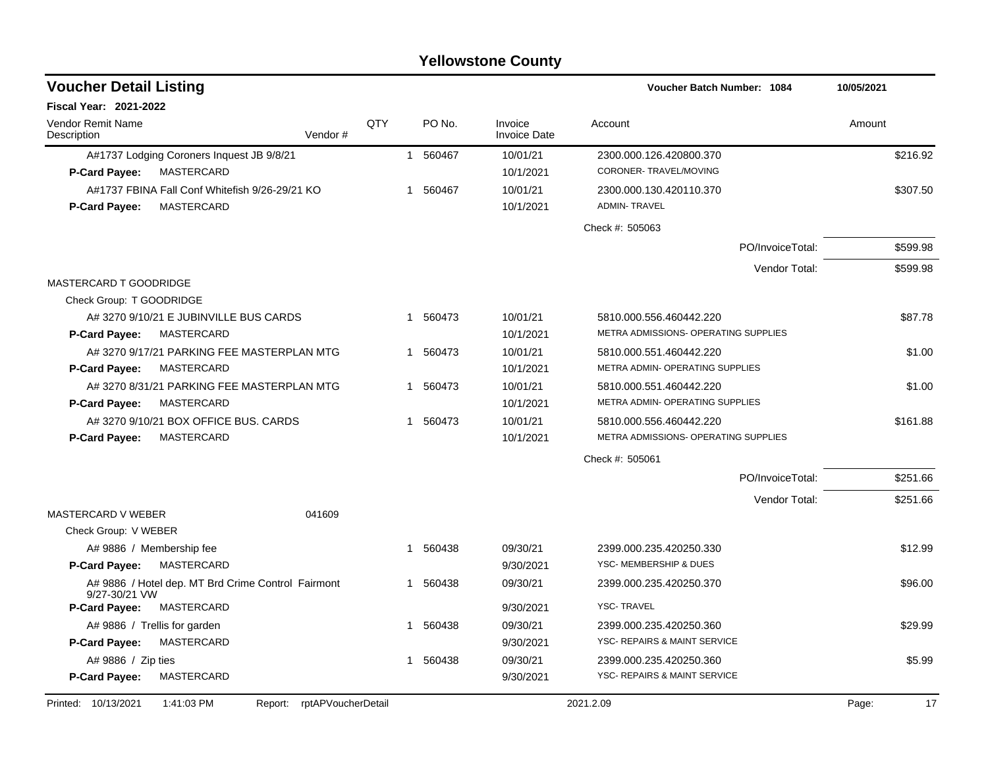| <b>Voucher Detail Listing</b>           |                                                              |                    |     |                        |                                | Voucher Batch Number: 1084                     | 10/05/2021  |
|-----------------------------------------|--------------------------------------------------------------|--------------------|-----|------------------------|--------------------------------|------------------------------------------------|-------------|
| <b>Fiscal Year: 2021-2022</b>           |                                                              |                    |     |                        |                                |                                                |             |
| <b>Vendor Remit Name</b><br>Description |                                                              | Vendor#            | QTY | PO No.                 | Invoice<br><b>Invoice Date</b> | Account                                        | Amount      |
|                                         | A#1737 Lodging Coroners Inquest JB 9/8/21                    |                    |     | 1 560467               | 10/01/21                       | 2300.000.126.420800.370                        | \$216.92    |
| <b>P-Card Pavee:</b>                    | MASTERCARD                                                   |                    |     |                        | 10/1/2021                      | CORONER-TRAVEL/MOVING                          |             |
| <b>P-Card Payee:</b>                    | A#1737 FBINA Fall Conf Whitefish 9/26-29/21 KO<br>MASTERCARD |                    |     | 1 560467               | 10/01/21<br>10/1/2021          | 2300.000.130.420110.370<br><b>ADMIN-TRAVEL</b> | \$307.50    |
|                                         |                                                              |                    |     |                        |                                | Check #: 505063                                |             |
|                                         |                                                              |                    |     |                        |                                | PO/InvoiceTotal:                               | \$599.98    |
|                                         |                                                              |                    |     |                        |                                | Vendor Total:                                  | \$599.98    |
| <b>MASTERCARD T GOODRIDGE</b>           |                                                              |                    |     |                        |                                |                                                |             |
| Check Group: T GOODRIDGE                |                                                              |                    |     |                        |                                |                                                |             |
|                                         | A# 3270 9/10/21 E JUBINVILLE BUS CARDS                       |                    |     | 560473<br>$\mathbf{1}$ | 10/01/21                       | 5810.000.556.460442.220                        | \$87.78     |
| <b>P-Card Payee:</b>                    | MASTERCARD                                                   |                    |     |                        | 10/1/2021                      | METRA ADMISSIONS- OPERATING SUPPLIES           |             |
|                                         | A#32709/17/21 PARKING FEE MASTERPLAN MTG                     |                    |     | 1 560473               | 10/01/21                       | 5810.000.551.460442.220                        | \$1.00      |
| <b>P-Card Payee:</b>                    | MASTERCARD                                                   |                    |     |                        | 10/1/2021                      | METRA ADMIN- OPERATING SUPPLIES                |             |
|                                         | A#32708/31/21 PARKING FEE MASTERPLAN MTG                     |                    |     | 560473<br>$\mathbf{1}$ | 10/01/21                       | 5810.000.551.460442.220                        | \$1.00      |
| <b>P-Card Payee:</b>                    | MASTERCARD                                                   |                    |     |                        | 10/1/2021                      | METRA ADMIN- OPERATING SUPPLIES                |             |
|                                         | A# 3270 9/10/21 BOX OFFICE BUS. CARDS                        |                    |     | 1 560473               | 10/01/21                       | 5810.000.556.460442.220                        | \$161.88    |
| <b>P-Card Payee:</b>                    | MASTERCARD                                                   |                    |     |                        | 10/1/2021                      | METRA ADMISSIONS- OPERATING SUPPLIES           |             |
|                                         |                                                              |                    |     |                        |                                | Check #: 505061                                |             |
|                                         |                                                              |                    |     |                        |                                | PO/InvoiceTotal:                               | \$251.66    |
|                                         |                                                              |                    |     |                        |                                | Vendor Total:                                  | \$251.66    |
| <b>MASTERCARD V WEBER</b>               |                                                              | 041609             |     |                        |                                |                                                |             |
| Check Group: V WEBER                    |                                                              |                    |     |                        |                                |                                                |             |
|                                         | A# 9886 / Membership fee                                     |                    |     | 560438<br>1            | 09/30/21                       | 2399.000.235.420250.330                        | \$12.99     |
| P-Card Payee:                           | MASTERCARD                                                   |                    |     |                        | 9/30/2021                      | YSC- MEMBERSHIP & DUES                         |             |
| 9/27-30/21 VW                           | A# 9886 / Hotel dep. MT Brd Crime Control Fairmont           |                    |     | 560438<br>1            | 09/30/21                       | 2399.000.235.420250.370                        | \$96.00     |
| <b>P-Card Payee:</b>                    | MASTERCARD                                                   |                    |     |                        | 9/30/2021                      | <b>YSC-TRAVEL</b>                              |             |
|                                         | A# 9886 / Trellis for garden                                 |                    |     | 560438<br>1.           | 09/30/21                       | 2399.000.235.420250.360                        | \$29.99     |
| P-Card Payee:                           | MASTERCARD                                                   |                    |     |                        | 9/30/2021                      | YSC- REPAIRS & MAINT SERVICE                   |             |
| A# 9886 / Zip ties                      |                                                              |                    |     | 1 560438               | 09/30/21                       | 2399.000.235.420250.360                        | \$5.99      |
| P-Card Payee:                           | MASTERCARD                                                   |                    |     |                        | 9/30/2021                      | YSC- REPAIRS & MAINT SERVICE                   |             |
| Printed: 10/13/2021                     | 1:41:03 PM<br>Report:                                        | rptAPVoucherDetail |     |                        |                                | 2021.2.09                                      | Page:<br>17 |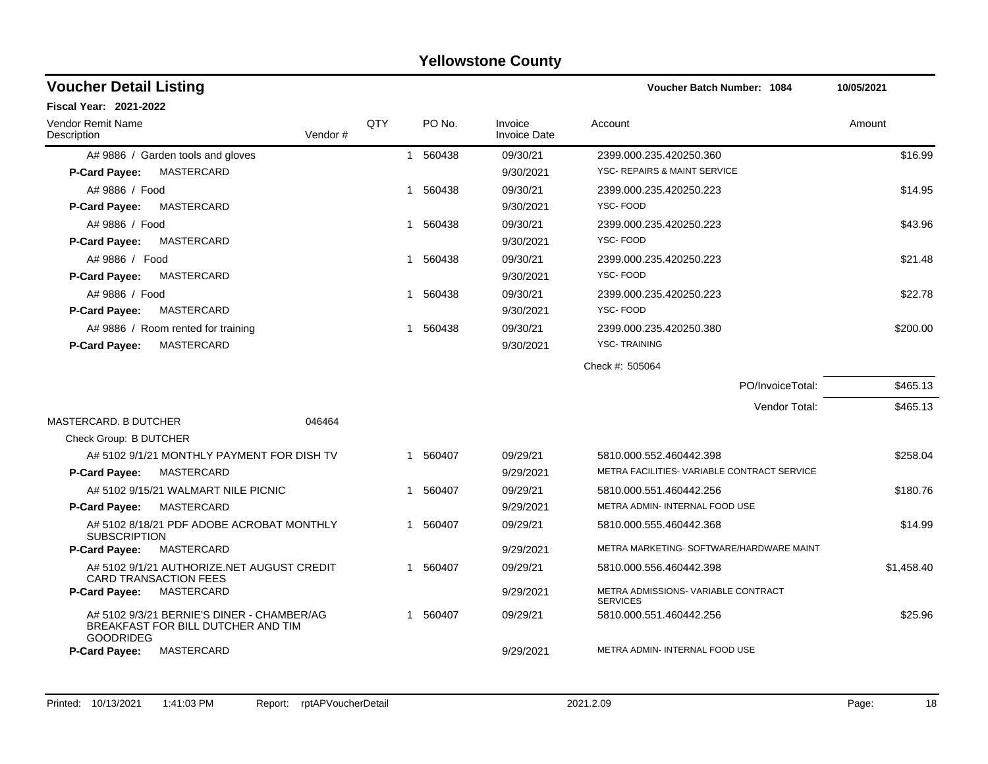| <b>Voucher Detail Listing</b>                                                                        |     |              |          |                                | Voucher Batch Number: 1084                             | 10/05/2021 |
|------------------------------------------------------------------------------------------------------|-----|--------------|----------|--------------------------------|--------------------------------------------------------|------------|
| <b>Fiscal Year: 2021-2022</b>                                                                        |     |              |          |                                |                                                        |            |
| <b>Vendor Remit Name</b><br>Vendor#<br>Description                                                   | QTY |              | PO No.   | Invoice<br><b>Invoice Date</b> | Account                                                | Amount     |
| A# 9886 / Garden tools and gloves                                                                    |     | $\mathbf{1}$ | 560438   | 09/30/21                       | 2399.000.235.420250.360                                | \$16.99    |
| MASTERCARD<br><b>P-Card Payee:</b>                                                                   |     |              |          | 9/30/2021                      | YSC- REPAIRS & MAINT SERVICE                           |            |
| A# 9886 / Food                                                                                       |     | 1            | 560438   | 09/30/21                       | 2399.000.235.420250.223                                | \$14.95    |
| MASTERCARD<br><b>P-Card Payee:</b>                                                                   |     |              |          | 9/30/2021                      | YSC-FOOD                                               |            |
| A# 9886 / Food                                                                                       |     | 1            | 560438   | 09/30/21                       | 2399.000.235.420250.223                                | \$43.96    |
| MASTERCARD<br><b>P-Card Payee:</b>                                                                   |     |              |          | 9/30/2021                      | YSC-FOOD                                               |            |
| A# 9886 / Food                                                                                       |     | 1            | 560438   | 09/30/21                       | 2399.000.235.420250.223                                | \$21.48    |
| MASTERCARD<br><b>P-Card Payee:</b>                                                                   |     |              |          | 9/30/2021                      | YSC-FOOD                                               |            |
| A# 9886 / Food                                                                                       |     | 1            | 560438   | 09/30/21                       | 2399.000.235.420250.223                                | \$22.78    |
| MASTERCARD<br>P-Card Payee:                                                                          |     |              |          | 9/30/2021                      | YSC-FOOD                                               |            |
| A# 9886 / Room rented for training                                                                   |     | 1            | 560438   | 09/30/21                       | 2399.000.235.420250.380                                | \$200.00   |
| MASTERCARD<br>P-Card Payee:                                                                          |     |              |          | 9/30/2021                      | <b>YSC-TRAINING</b>                                    |            |
|                                                                                                      |     |              |          |                                | Check #: 505064                                        |            |
|                                                                                                      |     |              |          |                                | PO/InvoiceTotal:                                       | \$465.13   |
|                                                                                                      |     |              |          |                                | Vendor Total:                                          | \$465.13   |
| <b>MASTERCARD, B DUTCHER</b><br>046464                                                               |     |              |          |                                |                                                        |            |
| Check Group: B DUTCHER                                                                               |     |              |          |                                |                                                        |            |
| A# 5102 9/1/21 MONTHLY PAYMENT FOR DISH TV                                                           |     |              | 1 560407 | 09/29/21                       | 5810.000.552.460442.398                                | \$258.04   |
| MASTERCARD<br><b>P-Card Payee:</b>                                                                   |     |              |          | 9/29/2021                      | METRA FACILITIES- VARIABLE CONTRACT SERVICE            |            |
| A# 5102 9/15/21 WALMART NILE PICNIC                                                                  |     | 1            | 560407   | 09/29/21                       | 5810.000.551.460442.256                                | \$180.76   |
| MASTERCARD<br><b>P-Card Payee:</b>                                                                   |     |              |          | 9/29/2021                      | METRA ADMIN- INTERNAL FOOD USE                         |            |
| A# 5102 8/18/21 PDF ADOBE ACROBAT MONTHLY<br><b>SUBSCRIPTION</b>                                     |     | 1            | 560407   | 09/29/21                       | 5810.000.555.460442.368                                | \$14.99    |
| P-Card Payee:<br>MASTERCARD                                                                          |     |              |          | 9/29/2021                      | METRA MARKETING- SOFTWARE/HARDWARE MAINT               |            |
| A# 5102 9/1/21 AUTHORIZE.NET AUGUST CREDIT<br><b>CARD TRANSACTION FEES</b>                           |     |              | 1 560407 | 09/29/21                       | 5810.000.556.460442.398                                | \$1,458.40 |
| MASTERCARD<br><b>P-Card Payee:</b>                                                                   |     |              |          | 9/29/2021                      | METRA ADMISSIONS- VARIABLE CONTRACT<br><b>SERVICES</b> |            |
| A# 5102 9/3/21 BERNIE'S DINER - CHAMBER/AG<br>BREAKFAST FOR BILL DUTCHER AND TIM<br><b>GOODRIDEG</b> |     | 1            | 560407   | 09/29/21                       | 5810.000.551.460442.256                                | \$25.96    |
| MASTERCARD<br><b>P-Card Payee:</b>                                                                   |     |              |          | 9/29/2021                      | METRA ADMIN- INTERNAL FOOD USE                         |            |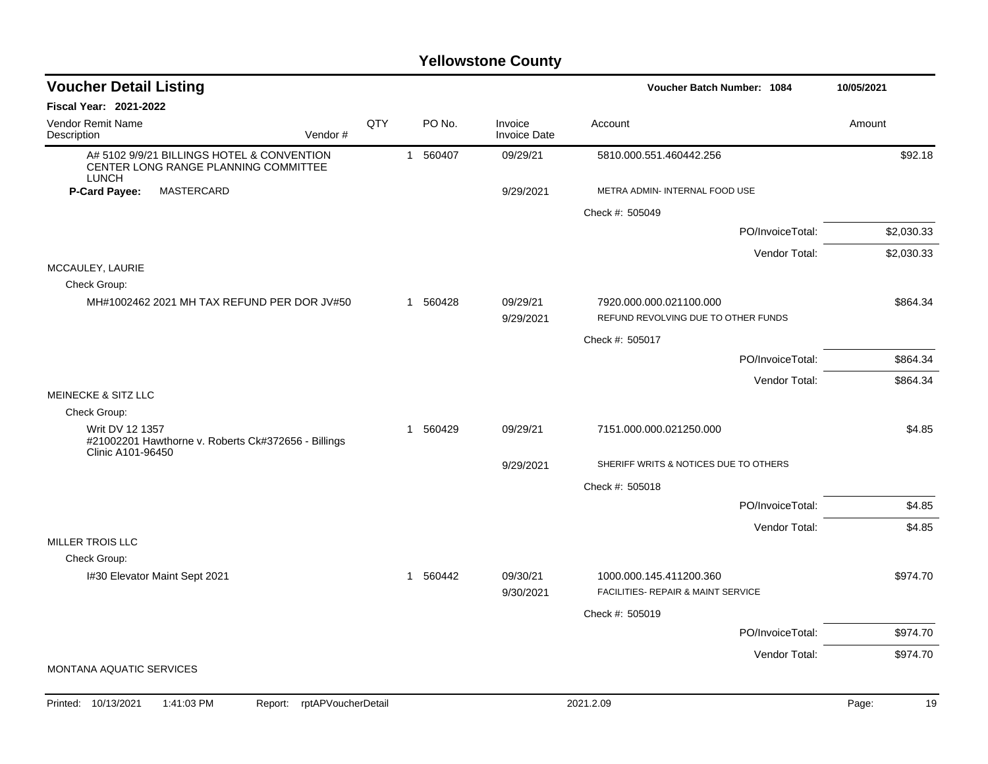| <b>Voucher Detail Listing</b><br>Voucher Batch Number: 1084                                        |     | 10/05/2021 |          |                                |                                                                |             |
|----------------------------------------------------------------------------------------------------|-----|------------|----------|--------------------------------|----------------------------------------------------------------|-------------|
| <b>Fiscal Year: 2021-2022</b>                                                                      |     |            |          |                                |                                                                |             |
| <b>Vendor Remit Name</b><br>Vendor#<br>Description                                                 | QTY |            | PO No.   | Invoice<br><b>Invoice Date</b> | Account                                                        | Amount      |
| A# 5102 9/9/21 BILLINGS HOTEL & CONVENTION<br>CENTER LONG RANGE PLANNING COMMITTEE<br><b>LUNCH</b> |     |            | 1 560407 | 09/29/21                       | 5810.000.551.460442.256                                        | \$92.18     |
| P-Card Payee:<br>MASTERCARD                                                                        |     |            |          | 9/29/2021                      | METRA ADMIN- INTERNAL FOOD USE                                 |             |
|                                                                                                    |     |            |          |                                | Check #: 505049                                                |             |
|                                                                                                    |     |            |          |                                | PO/InvoiceTotal:                                               | \$2,030.33  |
|                                                                                                    |     |            |          |                                | Vendor Total:                                                  | \$2,030.33  |
| MCCAULEY, LAURIE<br>Check Group:                                                                   |     |            |          |                                |                                                                |             |
| MH#1002462 2021 MH TAX REFUND PER DOR JV#50                                                        |     |            | 1 560428 | 09/29/21<br>9/29/2021          | 7920.000.000.021100.000<br>REFUND REVOLVING DUE TO OTHER FUNDS | \$864.34    |
|                                                                                                    |     |            |          |                                | Check #: 505017                                                |             |
|                                                                                                    |     |            |          |                                | PO/InvoiceTotal:                                               | \$864.34    |
|                                                                                                    |     |            |          |                                | Vendor Total:                                                  | \$864.34    |
| <b>MEINECKE &amp; SITZ LLC</b>                                                                     |     |            |          |                                |                                                                |             |
| Check Group:                                                                                       |     |            |          |                                |                                                                |             |
| Writ DV 12 1357<br>#21002201 Hawthorne v. Roberts Ck#372656 - Billings<br>Clinic A101-96450        |     | 1          | 560429   | 09/29/21                       | 7151.000.000.021250.000                                        | \$4.85      |
|                                                                                                    |     |            |          | 9/29/2021                      | SHERIFF WRITS & NOTICES DUE TO OTHERS                          |             |
|                                                                                                    |     |            |          |                                | Check #: 505018                                                |             |
|                                                                                                    |     |            |          |                                | PO/InvoiceTotal:                                               | \$4.85      |
|                                                                                                    |     |            |          |                                | Vendor Total:                                                  | \$4.85      |
| <b>MILLER TROIS LLC</b>                                                                            |     |            |          |                                |                                                                |             |
| Check Group:<br>I#30 Elevator Maint Sept 2021                                                      |     |            | 1 560442 | 09/30/21                       | 1000.000.145.411200.360                                        | \$974.70    |
|                                                                                                    |     |            |          | 9/30/2021                      | FACILITIES- REPAIR & MAINT SERVICE                             |             |
|                                                                                                    |     |            |          |                                | Check #: 505019                                                |             |
|                                                                                                    |     |            |          |                                | PO/InvoiceTotal:                                               | \$974.70    |
| MONTANA AQUATIC SERVICES                                                                           |     |            |          |                                | Vendor Total:                                                  | \$974.70    |
|                                                                                                    |     |            |          |                                |                                                                |             |
| Printed: 10/13/2021<br>1:41:03 PM<br>rptAPVoucherDetail<br>Report:                                 |     |            |          |                                | 2021.2.09                                                      | 19<br>Page: |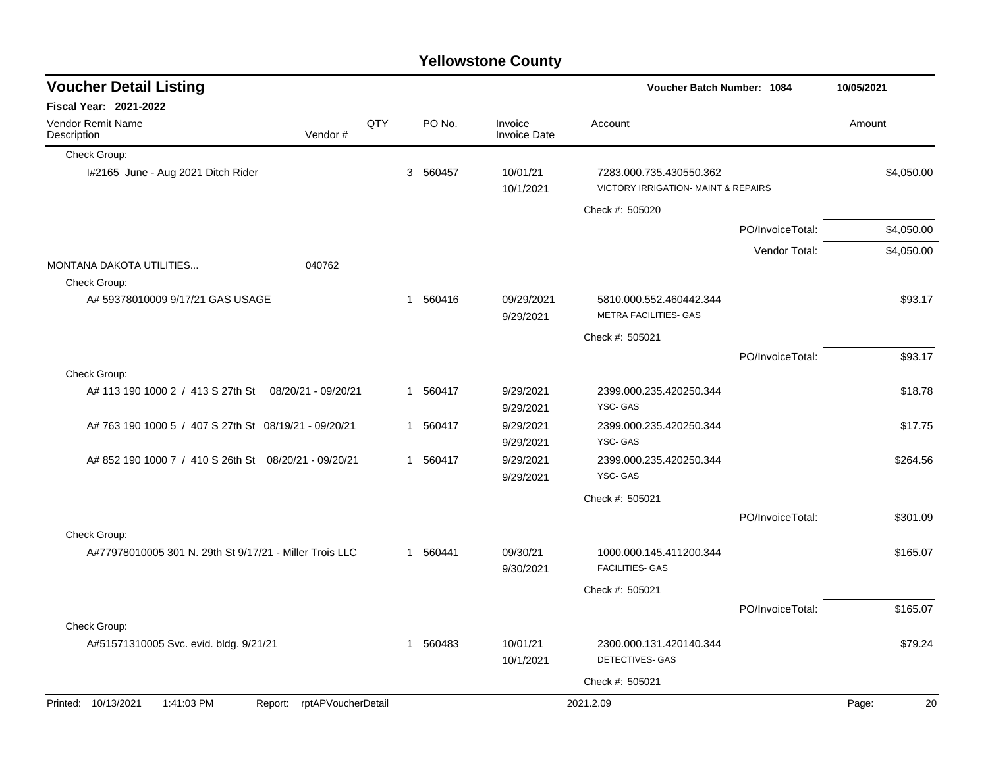| <b>Yellowstone County</b> |  |  |
|---------------------------|--|--|
|---------------------------|--|--|

| <b>Voucher Detail Listing</b>                                      |     |          |                                | Voucher Batch Number: 1084                                     |                  | 10/05/2021  |
|--------------------------------------------------------------------|-----|----------|--------------------------------|----------------------------------------------------------------|------------------|-------------|
| <b>Fiscal Year: 2021-2022</b>                                      |     |          |                                |                                                                |                  |             |
| Vendor Remit Name<br>Vendor#<br>Description                        | QTY | PO No.   | Invoice<br><b>Invoice Date</b> | Account                                                        |                  | Amount      |
| Check Group:                                                       |     |          |                                |                                                                |                  |             |
| I#2165 June - Aug 2021 Ditch Rider                                 |     | 3 560457 | 10/01/21<br>10/1/2021          | 7283.000.735.430550.362<br>VICTORY IRRIGATION- MAINT & REPAIRS |                  | \$4,050.00  |
|                                                                    |     |          |                                | Check #: 505020                                                |                  |             |
|                                                                    |     |          |                                |                                                                | PO/InvoiceTotal: | \$4,050.00  |
|                                                                    |     |          |                                |                                                                | Vendor Total:    | \$4,050.00  |
| <b>MONTANA DAKOTA UTILITIES</b><br>040762<br>Check Group:          |     |          |                                |                                                                |                  |             |
| A# 59378010009 9/17/21 GAS USAGE                                   |     | 1 560416 | 09/29/2021<br>9/29/2021        | 5810.000.552.460442.344<br><b>METRA FACILITIES- GAS</b>        |                  | \$93.17     |
|                                                                    |     |          |                                | Check #: 505021                                                |                  |             |
|                                                                    |     |          |                                |                                                                | PO/InvoiceTotal: | \$93.17     |
| Check Group:                                                       |     |          |                                |                                                                |                  |             |
| A# 113 190 1000 2 / 413 S 27th St 08/20/21 - 09/20/21              |     | 1 560417 | 9/29/2021<br>9/29/2021         | 2399.000.235.420250.344<br>YSC-GAS                             |                  | \$18.78     |
| A# 763 190 1000 5 / 407 S 27th St 08/19/21 - 09/20/21              |     | 1 560417 | 9/29/2021<br>9/29/2021         | 2399.000.235.420250.344<br>YSC-GAS                             |                  | \$17.75     |
| A# 852 190 1000 7 / 410 S 26th St 08/20/21 - 09/20/21              |     | 1 560417 | 9/29/2021<br>9/29/2021         | 2399.000.235.420250.344<br>YSC-GAS                             |                  | \$264.56    |
|                                                                    |     |          |                                | Check #: 505021                                                |                  |             |
|                                                                    |     |          |                                |                                                                | PO/InvoiceTotal: | \$301.09    |
| Check Group:                                                       |     |          |                                |                                                                |                  |             |
| A#77978010005 301 N. 29th St 9/17/21 - Miller Trois LLC            |     | 1 560441 | 09/30/21<br>9/30/2021          | 1000.000.145.411200.344<br><b>FACILITIES- GAS</b>              |                  | \$165.07    |
|                                                                    |     |          |                                | Check #: 505021                                                |                  |             |
|                                                                    |     |          |                                |                                                                | PO/InvoiceTotal: | \$165.07    |
| Check Group:                                                       |     |          |                                |                                                                |                  |             |
| A#51571310005 Svc. evid. bldg. 9/21/21                             |     | 1 560483 | 10/01/21<br>10/1/2021          | 2300.000.131.420140.344<br>DETECTIVES- GAS                     |                  | \$79.24     |
|                                                                    |     |          |                                | Check #: 505021                                                |                  |             |
| Printed: 10/13/2021<br>1:41:03 PM<br>rptAPVoucherDetail<br>Report: |     |          |                                | 2021.2.09                                                      |                  | Page:<br>20 |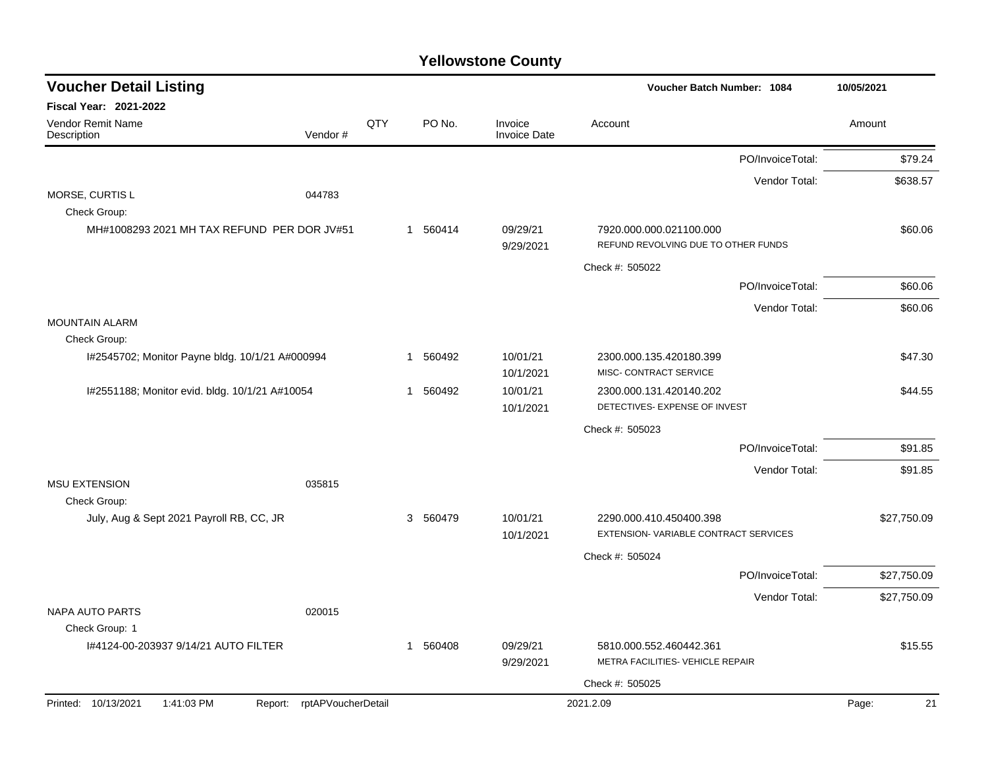| <b>Voucher Detail Listing</b>                   |                    |     |             |          |                                | Voucher Batch Number: 1084           |                  | 10/05/2021  |
|-------------------------------------------------|--------------------|-----|-------------|----------|--------------------------------|--------------------------------------|------------------|-------------|
| Fiscal Year: 2021-2022                          |                    |     |             |          |                                |                                      |                  |             |
| Vendor Remit Name<br>Description                | Vendor#            | QTY |             | PO No.   | Invoice<br><b>Invoice Date</b> | Account                              |                  | Amount      |
|                                                 |                    |     |             |          |                                |                                      | PO/InvoiceTotal: | \$79.24     |
|                                                 |                    |     |             |          |                                |                                      | Vendor Total:    | \$638.57    |
| MORSE, CURTIS L<br>Check Group:                 | 044783             |     |             |          |                                |                                      |                  |             |
| MH#1008293 2021 MH TAX REFUND PER DOR JV#51     |                    |     |             | 1 560414 | 09/29/21                       | 7920.000.000.021100.000              |                  | \$60.06     |
|                                                 |                    |     |             |          | 9/29/2021                      | REFUND REVOLVING DUE TO OTHER FUNDS  |                  |             |
|                                                 |                    |     |             |          |                                | Check #: 505022                      |                  |             |
|                                                 |                    |     |             |          |                                |                                      | PO/InvoiceTotal: | \$60.06     |
|                                                 |                    |     |             |          |                                |                                      | Vendor Total:    | \$60.06     |
| <b>MOUNTAIN ALARM</b><br>Check Group:           |                    |     |             |          |                                |                                      |                  |             |
| I#2545702; Monitor Payne bldg. 10/1/21 A#000994 |                    |     | 1           | 560492   | 10/01/21                       | 2300.000.135.420180.399              |                  | \$47.30     |
|                                                 |                    |     |             |          | 10/1/2021                      | MISC- CONTRACT SERVICE               |                  |             |
| I#2551188; Monitor evid. bldg. 10/1/21 A#10054  |                    |     | $\mathbf 1$ | 560492   | 10/01/21                       | 2300.000.131.420140.202              |                  | \$44.55     |
|                                                 |                    |     |             |          | 10/1/2021                      | DETECTIVES- EXPENSE OF INVEST        |                  |             |
|                                                 |                    |     |             |          |                                | Check #: 505023                      |                  |             |
|                                                 |                    |     |             |          |                                |                                      | PO/InvoiceTotal: | \$91.85     |
|                                                 |                    |     |             |          |                                |                                      | Vendor Total:    | \$91.85     |
| <b>MSU EXTENSION</b><br>Check Group:            | 035815             |     |             |          |                                |                                      |                  |             |
| July, Aug & Sept 2021 Payroll RB, CC, JR        |                    |     |             | 3 560479 | 10/01/21                       | 2290.000.410.450400.398              |                  | \$27,750.09 |
|                                                 |                    |     |             |          | 10/1/2021                      | EXTENSION-VARIABLE CONTRACT SERVICES |                  |             |
|                                                 |                    |     |             |          |                                | Check #: 505024                      |                  |             |
|                                                 |                    |     |             |          |                                |                                      | PO/InvoiceTotal: | \$27,750.09 |
|                                                 |                    |     |             |          |                                |                                      | Vendor Total:    | \$27,750.09 |
| <b>NAPA AUTO PARTS</b><br>Check Group: 1        | 020015             |     |             |          |                                |                                      |                  |             |
| 1#4124-00-203937 9/14/21 AUTO FILTER            |                    |     |             | 1 560408 | 09/29/21                       | 5810.000.552.460442.361              |                  | \$15.55     |
|                                                 |                    |     |             |          | 9/29/2021                      | METRA FACILITIES- VEHICLE REPAIR     |                  |             |
|                                                 |                    |     |             |          |                                | Check #: 505025                      |                  |             |
| Printed: 10/13/2021<br>1:41:03 PM<br>Report:    | rptAPVoucherDetail |     |             |          |                                | 2021.2.09                            |                  | 21<br>Page: |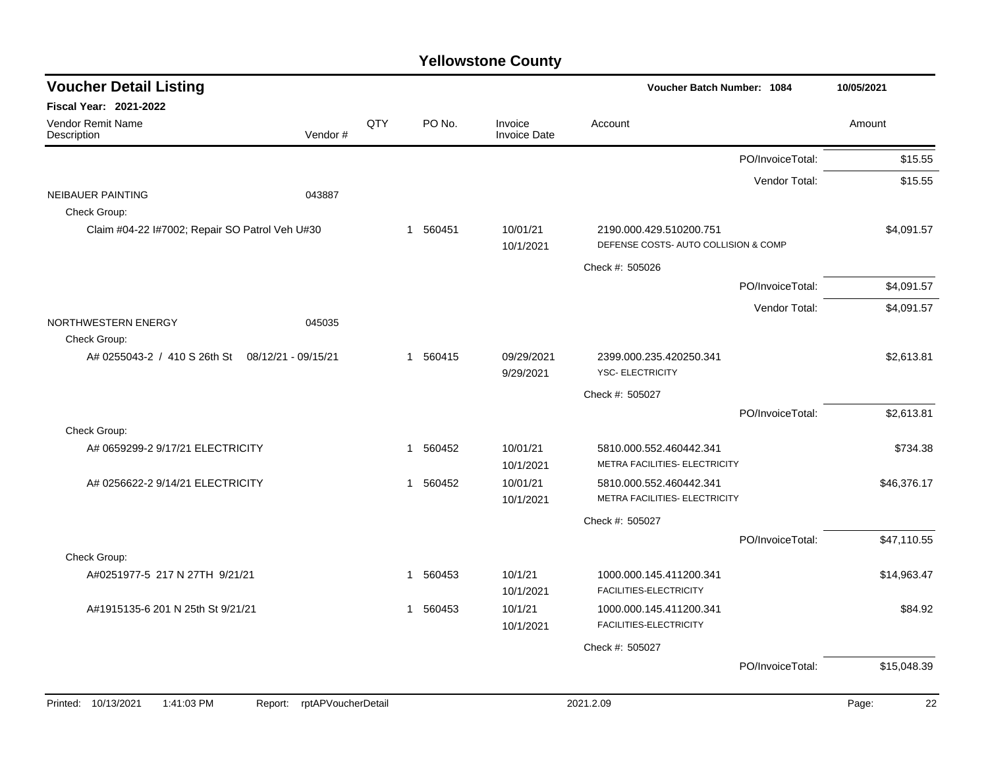| <b>Voucher Detail Listing</b>                  |                               |     |             |                                | Voucher Batch Number: 1084                               |                  | 10/05/2021  |
|------------------------------------------------|-------------------------------|-----|-------------|--------------------------------|----------------------------------------------------------|------------------|-------------|
| Fiscal Year: 2021-2022                         |                               |     |             |                                |                                                          |                  |             |
| Vendor Remit Name<br>Description               | Vendor#                       | QTY | PO No.      | Invoice<br><b>Invoice Date</b> | Account                                                  |                  | Amount      |
|                                                |                               |     |             |                                |                                                          | PO/InvoiceTotal: | \$15.55     |
|                                                |                               |     |             |                                |                                                          | Vendor Total:    | \$15.55     |
| <b>NEIBAUER PAINTING</b><br>Check Group:       | 043887                        |     |             |                                |                                                          |                  |             |
| Claim #04-22 I#7002; Repair SO Patrol Veh U#30 |                               |     | 1 560451    | 10/01/21                       | 2190.000.429.510200.751                                  |                  | \$4,091.57  |
|                                                |                               |     |             | 10/1/2021                      | DEFENSE COSTS- AUTO COLLISION & COMP                     |                  |             |
|                                                |                               |     |             |                                | Check #: 505026                                          |                  |             |
|                                                |                               |     |             |                                |                                                          | PO/InvoiceTotal: | \$4,091.57  |
|                                                |                               |     |             |                                |                                                          | Vendor Total:    | \$4,091.57  |
| NORTHWESTERN ENERGY                            | 045035                        |     |             |                                |                                                          |                  |             |
| Check Group:<br>A# 0255043-2 / 410 S 26th St   | 08/12/21 - 09/15/21           |     | 1 560415    | 09/29/2021                     | 2399.000.235.420250.341                                  |                  | \$2,613.81  |
|                                                |                               |     |             | 9/29/2021                      | <b>YSC- ELECTRICITY</b>                                  |                  |             |
|                                                |                               |     |             |                                | Check #: 505027                                          |                  |             |
|                                                |                               |     |             |                                |                                                          | PO/InvoiceTotal: | \$2,613.81  |
| Check Group:                                   |                               |     |             |                                |                                                          |                  |             |
| A# 0659299-2 9/17/21 ELECTRICITY               |                               |     | 560452<br>1 | 10/01/21                       | 5810.000.552.460442.341                                  |                  | \$734.38    |
|                                                |                               |     |             | 10/1/2021                      | METRA FACILITIES- ELECTRICITY                            |                  |             |
| A# 0256622-2 9/14/21 ELECTRICITY               |                               |     | 560452<br>1 | 10/01/21<br>10/1/2021          | 5810.000.552.460442.341<br>METRA FACILITIES- ELECTRICITY |                  | \$46,376.17 |
|                                                |                               |     |             |                                | Check #: 505027                                          |                  |             |
|                                                |                               |     |             |                                |                                                          | PO/InvoiceTotal: | \$47,110.55 |
| Check Group:                                   |                               |     |             |                                |                                                          |                  |             |
| A#0251977-5 217 N 27TH 9/21/21                 |                               |     | 1 560453    | 10/1/21<br>10/1/2021           | 1000.000.145.411200.341<br>FACILITIES-ELECTRICITY        |                  | \$14,963.47 |
| A#1915135-6 201 N 25th St 9/21/21              |                               |     | 560453<br>1 | 10/1/21<br>10/1/2021           | 1000.000.145.411200.341<br>FACILITIES-ELECTRICITY        |                  | \$84.92     |
|                                                |                               |     |             |                                | Check #: 505027                                          |                  |             |
|                                                |                               |     |             |                                |                                                          | PO/InvoiceTotal: | \$15,048.39 |
|                                                |                               |     |             |                                |                                                          |                  |             |
| Printed: 10/13/2021<br>1:41:03 PM              | rptAPVoucherDetail<br>Report: |     |             |                                | 2021.2.09                                                |                  | Page:<br>22 |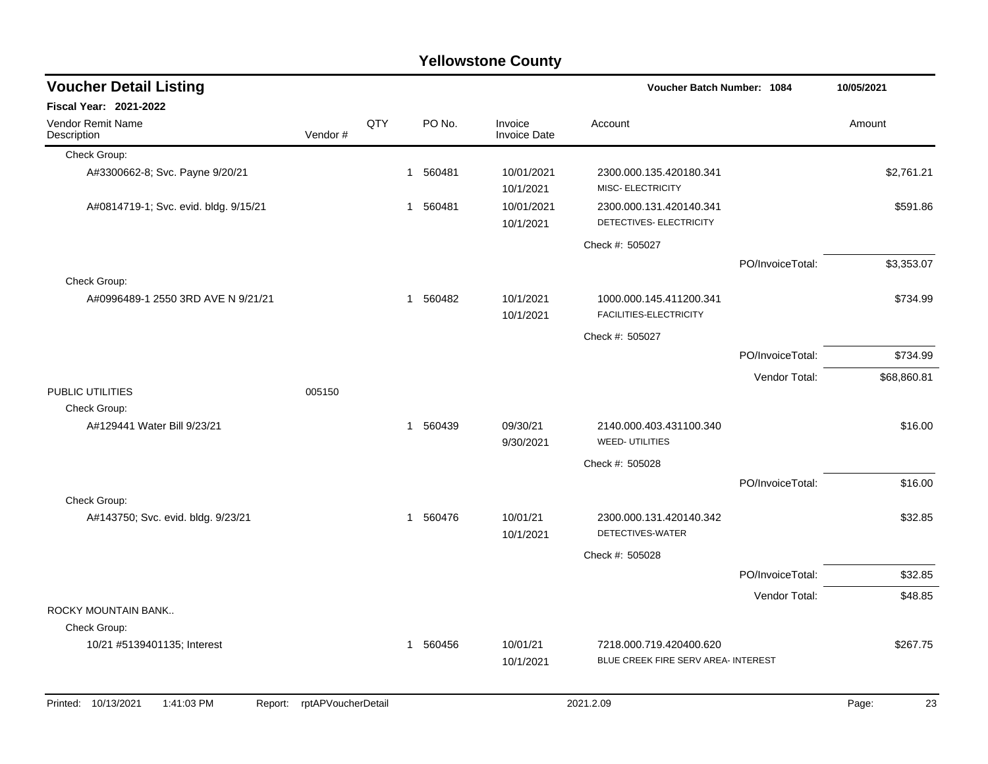| <b>Voucher Detail Listing</b>                |                    |     |              |          |                                | Voucher Batch Number: 1084                                     | 10/05/2021       |             |
|----------------------------------------------|--------------------|-----|--------------|----------|--------------------------------|----------------------------------------------------------------|------------------|-------------|
| Fiscal Year: 2021-2022                       |                    |     |              |          |                                |                                                                |                  |             |
| Vendor Remit Name<br>Description             | Vendor#            | QTY |              | PO No.   | Invoice<br><b>Invoice Date</b> | Account                                                        |                  | Amount      |
| Check Group:                                 |                    |     |              |          |                                |                                                                |                  |             |
| A#3300662-8; Svc. Payne 9/20/21              |                    |     |              | 1 560481 | 10/01/2021<br>10/1/2021        | 2300.000.135.420180.341<br>MISC- ELECTRICITY                   |                  | \$2,761.21  |
| A#0814719-1; Svc. evid. bldg. 9/15/21        |                    |     | $\mathbf{1}$ | 560481   | 10/01/2021<br>10/1/2021        | 2300.000.131.420140.341<br>DETECTIVES- ELECTRICITY             |                  | \$591.86    |
|                                              |                    |     |              |          |                                | Check #: 505027                                                |                  |             |
|                                              |                    |     |              |          |                                |                                                                | PO/InvoiceTotal: | \$3,353.07  |
| Check Group:                                 |                    |     |              |          |                                |                                                                |                  |             |
| A#0996489-1 2550 3RD AVE N 9/21/21           |                    |     |              | 1 560482 | 10/1/2021<br>10/1/2021         | 1000.000.145.411200.341<br>FACILITIES-ELECTRICITY              |                  | \$734.99    |
|                                              |                    |     |              |          |                                | Check #: 505027                                                |                  |             |
|                                              |                    |     |              |          |                                |                                                                | PO/InvoiceTotal: | \$734.99    |
|                                              |                    |     |              |          |                                |                                                                | Vendor Total:    | \$68,860.81 |
| PUBLIC UTILITIES<br>Check Group:             | 005150             |     |              |          |                                |                                                                |                  |             |
| A#129441 Water Bill 9/23/21                  |                    |     |              | 1 560439 | 09/30/21<br>9/30/2021          | 2140.000.403.431100.340<br>WEED- UTILITIES                     |                  | \$16.00     |
|                                              |                    |     |              |          |                                | Check #: 505028                                                |                  |             |
| Check Group:                                 |                    |     |              |          |                                |                                                                | PO/InvoiceTotal: | \$16.00     |
| A#143750; Svc. evid. bldg. 9/23/21           |                    |     |              | 1 560476 | 10/01/21<br>10/1/2021          | 2300.000.131.420140.342<br>DETECTIVES-WATER                    |                  | \$32.85     |
|                                              |                    |     |              |          |                                | Check #: 505028                                                |                  |             |
|                                              |                    |     |              |          |                                |                                                                | PO/InvoiceTotal: | \$32.85     |
|                                              |                    |     |              |          |                                |                                                                | Vendor Total:    | \$48.85     |
| ROCKY MOUNTAIN BANK                          |                    |     |              |          |                                |                                                                |                  |             |
| Check Group:                                 |                    |     |              |          |                                |                                                                |                  |             |
| 10/21 #5139401135; Interest                  |                    |     |              | 1 560456 | 10/01/21<br>10/1/2021          | 7218.000.719.420400.620<br>BLUE CREEK FIRE SERV AREA- INTEREST |                  | \$267.75    |
| Printed: 10/13/2021<br>1:41:03 PM<br>Report: | rptAPVoucherDetail |     |              |          |                                | 2021.2.09                                                      |                  | 23<br>Page: |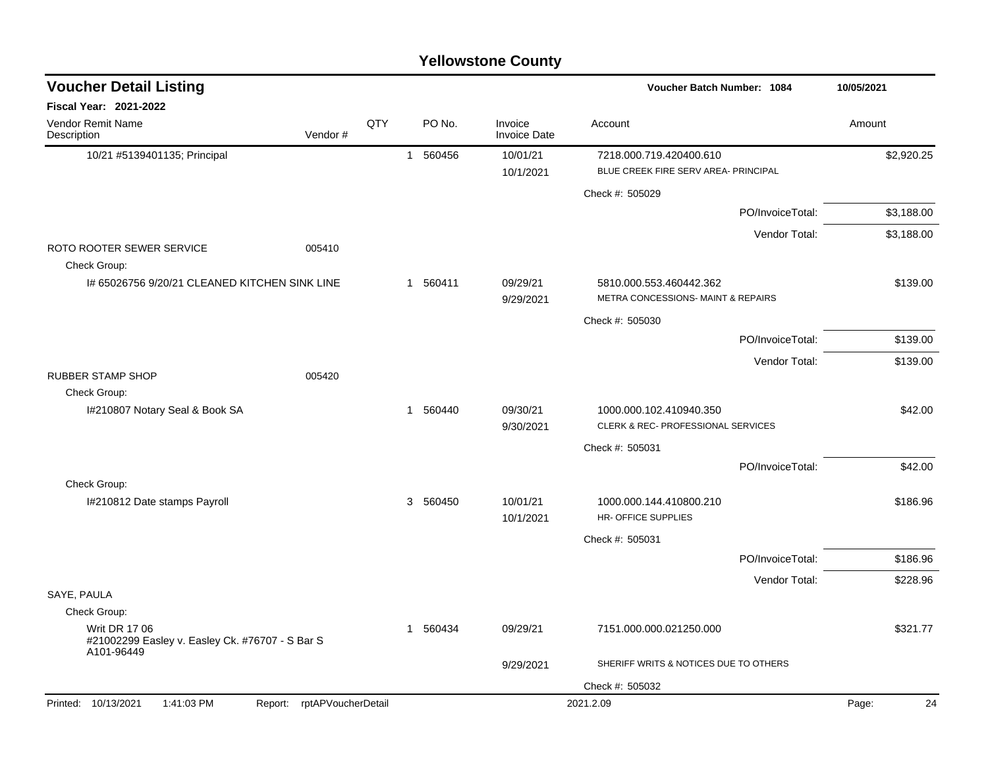| <b>Voucher Detail Listing</b>                                                         |                            |          |          |                                | Voucher Batch Number: 1084                                    |                  | 10/05/2021  |
|---------------------------------------------------------------------------------------|----------------------------|----------|----------|--------------------------------|---------------------------------------------------------------|------------------|-------------|
| <b>Fiscal Year: 2021-2022</b>                                                         |                            |          |          |                                |                                                               |                  |             |
| Vendor Remit Name<br>Description                                                      | Vendor#                    | QTY      | PO No.   | Invoice<br><b>Invoice Date</b> | Account                                                       |                  | Amount      |
| 10/21 #5139401135; Principal                                                          |                            |          | 1 560456 | 10/01/21                       | 7218.000.719.420400.610                                       |                  | \$2,920.25  |
|                                                                                       |                            |          |          | 10/1/2021                      | BLUE CREEK FIRE SERV AREA- PRINCIPAL                          |                  |             |
|                                                                                       |                            |          |          |                                | Check #: 505029                                               |                  |             |
|                                                                                       |                            |          |          |                                |                                                               | PO/InvoiceTotal: | \$3,188.00  |
|                                                                                       |                            |          |          |                                |                                                               | Vendor Total:    | \$3,188.00  |
| ROTO ROOTER SEWER SERVICE<br>Check Group:                                             | 005410                     |          |          |                                |                                                               |                  |             |
| I# 65026756 9/20/21 CLEANED KITCHEN SINK LINE                                         |                            |          | 1 560411 | 09/29/21<br>9/29/2021          | 5810.000.553.460442.362<br>METRA CONCESSIONS- MAINT & REPAIRS |                  | \$139.00    |
|                                                                                       |                            |          |          |                                | Check #: 505030                                               |                  |             |
|                                                                                       |                            |          |          |                                |                                                               | PO/InvoiceTotal: | \$139.00    |
|                                                                                       |                            |          |          |                                |                                                               | Vendor Total:    | \$139.00    |
| <b>RUBBER STAMP SHOP</b>                                                              | 005420                     |          |          |                                |                                                               |                  |             |
| Check Group:                                                                          |                            |          |          |                                |                                                               |                  |             |
| I#210807 Notary Seal & Book SA                                                        |                            |          | 1 560440 | 09/30/21<br>9/30/2021          | 1000.000.102.410940.350<br>CLERK & REC- PROFESSIONAL SERVICES |                  | \$42.00     |
|                                                                                       |                            |          |          |                                | Check #: 505031                                               |                  |             |
|                                                                                       |                            |          |          |                                |                                                               | PO/InvoiceTotal: | \$42.00     |
| Check Group:                                                                          |                            |          |          |                                |                                                               |                  |             |
| I#210812 Date stamps Payroll                                                          |                            |          | 3 560450 | 10/01/21<br>10/1/2021          | 1000.000.144.410800.210<br><b>HR- OFFICE SUPPLIES</b>         |                  | \$186.96    |
|                                                                                       |                            |          |          |                                | Check #: 505031                                               |                  |             |
|                                                                                       |                            |          |          |                                |                                                               | PO/InvoiceTotal: | \$186.96    |
|                                                                                       |                            |          |          |                                |                                                               | Vendor Total:    | \$228.96    |
| SAYE, PAULA                                                                           |                            |          |          |                                |                                                               |                  |             |
| Check Group:                                                                          |                            |          |          |                                |                                                               |                  |             |
| <b>Writ DR 17 06</b><br>#21002299 Easley v. Easley Ck. #76707 - S Bar S<br>A101-96449 |                            | 1 560434 | 09/29/21 | 7151.000.000.021250.000        |                                                               | \$321.77         |             |
|                                                                                       |                            |          |          | 9/29/2021                      | SHERIFF WRITS & NOTICES DUE TO OTHERS                         |                  |             |
|                                                                                       |                            |          |          |                                | Check #: 505032                                               |                  |             |
| 1:41:03 PM<br>Printed: 10/13/2021                                                     | Report: rptAPVoucherDetail |          |          |                                | 2021.2.09                                                     |                  | Page:<br>24 |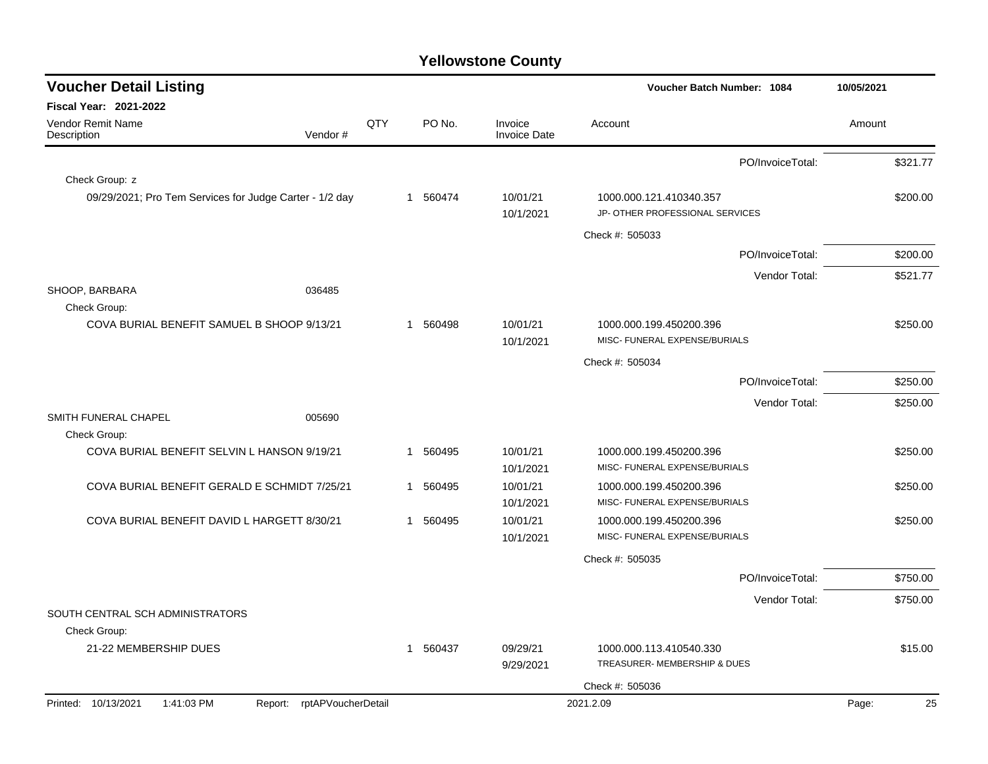| <b>Voucher Detail Listing</b>                           |                               |     |                        |                                | Voucher Batch Number: 1084                                 | 10/05/2021  |
|---------------------------------------------------------|-------------------------------|-----|------------------------|--------------------------------|------------------------------------------------------------|-------------|
| <b>Fiscal Year: 2021-2022</b>                           |                               |     |                        |                                |                                                            |             |
| Vendor Remit Name<br>Description                        | Vendor#                       | QTY | PO No.                 | Invoice<br><b>Invoice Date</b> | Account                                                    | Amount      |
|                                                         |                               |     |                        |                                | PO/InvoiceTotal:                                           | \$321.77    |
| Check Group: z                                          |                               |     |                        |                                |                                                            |             |
| 09/29/2021; Pro Tem Services for Judge Carter - 1/2 day |                               |     | 1 560474               | 10/01/21<br>10/1/2021          | 1000.000.121.410340.357<br>JP- OTHER PROFESSIONAL SERVICES | \$200.00    |
|                                                         |                               |     |                        |                                | Check #: 505033                                            |             |
|                                                         |                               |     |                        |                                | PO/InvoiceTotal:                                           | \$200.00    |
|                                                         |                               |     |                        |                                | Vendor Total:                                              | \$521.77    |
| SHOOP, BARBARA<br>Check Group:                          | 036485                        |     |                        |                                |                                                            |             |
| COVA BURIAL BENEFIT SAMUEL B SHOOP 9/13/21              |                               |     | 560498<br>$\mathbf{1}$ | 10/01/21<br>10/1/2021          | 1000.000.199.450200.396<br>MISC- FUNERAL EXPENSE/BURIALS   | \$250.00    |
|                                                         |                               |     |                        |                                | Check #: 505034                                            |             |
|                                                         |                               |     |                        |                                | PO/InvoiceTotal:                                           | \$250.00    |
|                                                         |                               |     |                        |                                | Vendor Total:                                              | \$250.00    |
| SMITH FUNERAL CHAPEL<br>Check Group:                    | 005690                        |     |                        |                                |                                                            |             |
| COVA BURIAL BENEFIT SELVIN L HANSON 9/19/21             |                               |     | 560495<br>1            | 10/01/21<br>10/1/2021          | 1000.000.199.450200.396<br>MISC- FUNERAL EXPENSE/BURIALS   | \$250.00    |
| COVA BURIAL BENEFIT GERALD E SCHMIDT 7/25/21            |                               |     | 560495<br>$\mathbf 1$  | 10/01/21<br>10/1/2021          | 1000.000.199.450200.396<br>MISC- FUNERAL EXPENSE/BURIALS   | \$250.00    |
| COVA BURIAL BENEFIT DAVID L HARGETT 8/30/21             |                               |     | 560495<br>$\mathbf 1$  | 10/01/21<br>10/1/2021          | 1000.000.199.450200.396<br>MISC- FUNERAL EXPENSE/BURIALS   | \$250.00    |
|                                                         |                               |     |                        |                                | Check #: 505035                                            |             |
|                                                         |                               |     |                        |                                | PO/InvoiceTotal:                                           | \$750.00    |
|                                                         |                               |     |                        |                                | Vendor Total:                                              | \$750.00    |
| SOUTH CENTRAL SCH ADMINISTRATORS                        |                               |     |                        |                                |                                                            |             |
| Check Group:                                            |                               |     |                        |                                |                                                            |             |
| 21-22 MEMBERSHIP DUES                                   |                               |     | 1 560437               | 09/29/21<br>9/29/2021          | 1000.000.113.410540.330<br>TREASURER- MEMBERSHIP & DUES    | \$15.00     |
|                                                         |                               |     |                        |                                | Check #: 505036                                            |             |
| Printed: 10/13/2021<br>1:41:03 PM                       | rptAPVoucherDetail<br>Report: |     |                        |                                | 2021.2.09                                                  | 25<br>Page: |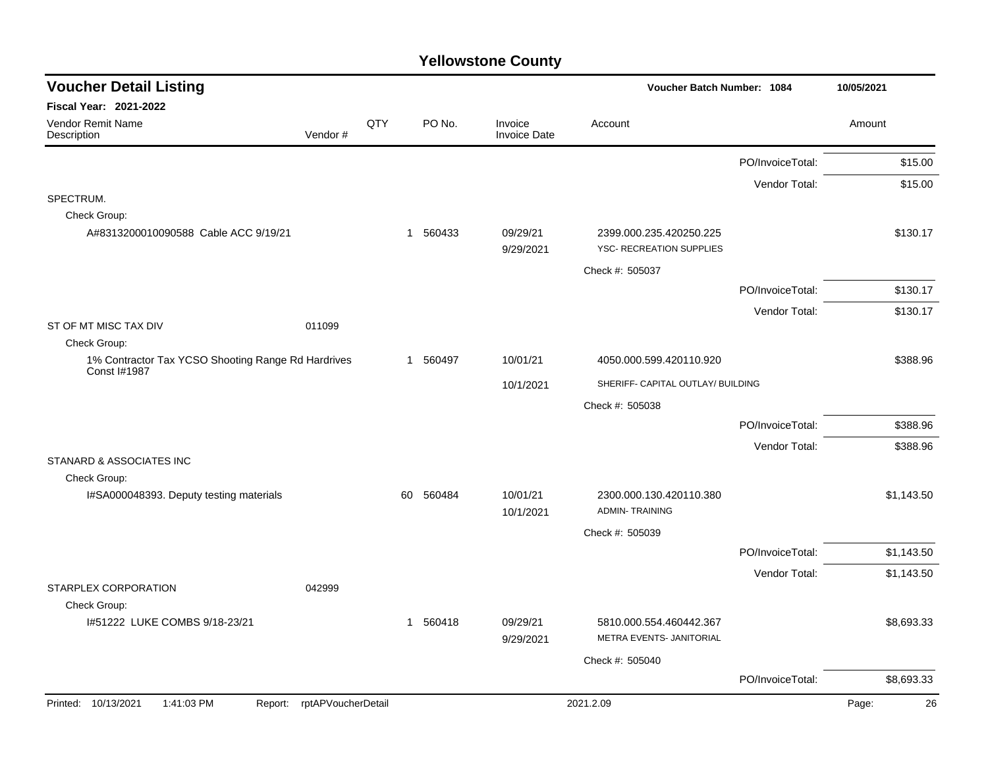| <b>Voucher Detail Listing</b>                                      |                    |    |          |                                | Voucher Batch Number: 1084                          |                  | 10/05/2021  |
|--------------------------------------------------------------------|--------------------|----|----------|--------------------------------|-----------------------------------------------------|------------------|-------------|
| Fiscal Year: 2021-2022                                             |                    |    |          |                                |                                                     |                  |             |
| Vendor Remit Name<br>Description<br>Vendor#                        | QTY                |    | PO No.   | Invoice<br><b>Invoice Date</b> | Account                                             |                  | Amount      |
|                                                                    |                    |    |          |                                |                                                     | PO/InvoiceTotal: | \$15.00     |
|                                                                    |                    |    |          |                                |                                                     | Vendor Total:    | \$15.00     |
| SPECTRUM.                                                          |                    |    |          |                                |                                                     |                  |             |
| Check Group:                                                       |                    |    |          |                                |                                                     |                  |             |
| A#8313200010090588 Cable ACC 9/19/21                               |                    |    | 1 560433 | 09/29/21<br>9/29/2021          | 2399.000.235.420250.225<br>YSC- RECREATION SUPPLIES |                  | \$130.17    |
|                                                                    |                    |    |          |                                | Check #: 505037                                     |                  |             |
|                                                                    |                    |    |          |                                |                                                     | PO/InvoiceTotal: | \$130.17    |
|                                                                    |                    |    |          |                                |                                                     | Vendor Total:    | \$130.17    |
| ST OF MT MISC TAX DIV<br>011099                                    |                    |    |          |                                |                                                     |                  |             |
| Check Group:                                                       |                    |    |          |                                |                                                     |                  |             |
| 1% Contractor Tax YCSO Shooting Range Rd Hardrives<br>Const I#1987 |                    |    | 1 560497 | 10/01/21                       | 4050.000.599.420110.920                             |                  | \$388.96    |
|                                                                    |                    |    |          | 10/1/2021                      | SHERIFF- CAPITAL OUTLAY/ BUILDING                   |                  |             |
|                                                                    |                    |    |          |                                | Check #: 505038                                     |                  |             |
|                                                                    |                    |    |          |                                |                                                     | PO/InvoiceTotal: | \$388.96    |
|                                                                    |                    |    |          |                                |                                                     | Vendor Total:    | \$388.96    |
| STANARD & ASSOCIATES INC                                           |                    |    |          |                                |                                                     |                  |             |
| Check Group:                                                       |                    |    |          |                                |                                                     |                  |             |
| I#SA000048393. Deputy testing materials                            |                    | 60 | 560484   | 10/01/21<br>10/1/2021          | 2300.000.130.420110.380<br><b>ADMIN-TRAINING</b>    |                  | \$1,143.50  |
|                                                                    |                    |    |          |                                | Check #: 505039                                     |                  |             |
|                                                                    |                    |    |          |                                |                                                     | PO/InvoiceTotal: | \$1,143.50  |
|                                                                    |                    |    |          |                                |                                                     | Vendor Total:    | \$1,143.50  |
| STARPLEX CORPORATION<br>042999                                     |                    |    |          |                                |                                                     |                  |             |
| Check Group:                                                       |                    |    |          |                                |                                                     |                  |             |
| 1#51222 LUKE COMBS 9/18-23/21                                      |                    |    | 1 560418 | 09/29/21<br>9/29/2021          | 5810.000.554.460442.367<br>METRA EVENTS- JANITORIAL |                  | \$8,693.33  |
|                                                                    |                    |    |          |                                | Check #: 505040                                     |                  |             |
|                                                                    |                    |    |          |                                |                                                     | PO/InvoiceTotal: | \$8,693.33  |
| Printed: 10/13/2021<br>1:41:03 PM<br>Report:                       | rptAPVoucherDetail |    |          |                                | 2021.2.09                                           |                  | Page:<br>26 |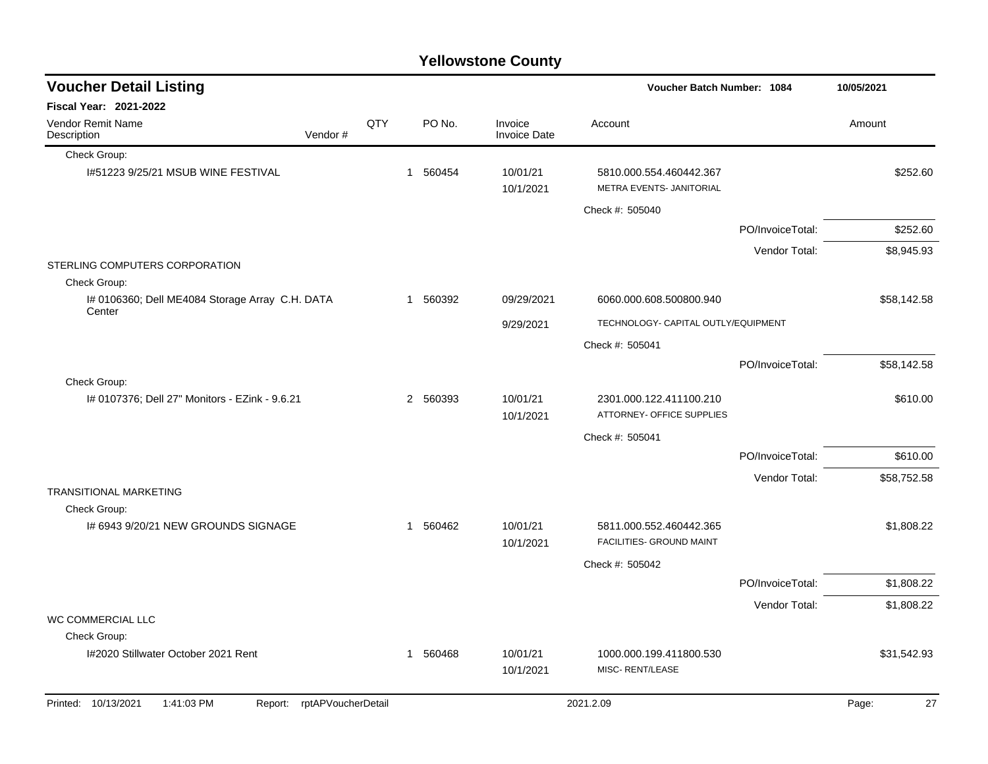| <b>Yellowstone County</b> |  |
|---------------------------|--|
|---------------------------|--|

| <b>Voucher Detail Listing</b>                                   |                    |     |          |                                | Voucher Batch Number: 1084                           |                  | 10/05/2021  |
|-----------------------------------------------------------------|--------------------|-----|----------|--------------------------------|------------------------------------------------------|------------------|-------------|
| <b>Fiscal Year: 2021-2022</b>                                   |                    |     |          |                                |                                                      |                  |             |
| <b>Vendor Remit Name</b><br>Description                         | Vendor#            | QTY | PO No.   | Invoice<br><b>Invoice Date</b> | Account                                              |                  | Amount      |
| Check Group:                                                    |                    |     |          |                                |                                                      |                  |             |
| I#51223 9/25/21 MSUB WINE FESTIVAL                              |                    |     | 1 560454 | 10/01/21<br>10/1/2021          | 5810.000.554.460442.367<br>METRA EVENTS- JANITORIAL  |                  | \$252.60    |
|                                                                 |                    |     |          |                                | Check #: 505040                                      |                  |             |
|                                                                 |                    |     |          |                                |                                                      | PO/InvoiceTotal: | \$252.60    |
|                                                                 |                    |     |          |                                |                                                      | Vendor Total:    | \$8,945.93  |
| STERLING COMPUTERS CORPORATION                                  |                    |     |          |                                |                                                      |                  |             |
| Check Group:<br>I# 0106360; Dell ME4084 Storage Array C.H. DATA |                    |     | 1 560392 | 09/29/2021                     | 6060.000.608.500800.940                              |                  | \$58,142.58 |
| Center                                                          |                    |     |          |                                |                                                      |                  |             |
|                                                                 |                    |     |          | 9/29/2021                      | TECHNOLOGY- CAPITAL OUTLY/EQUIPMENT                  |                  |             |
|                                                                 |                    |     |          |                                | Check #: 505041                                      |                  |             |
| Check Group:                                                    |                    |     |          |                                |                                                      | PO/InvoiceTotal: | \$58,142.58 |
| I# 0107376; Dell 27" Monitors - EZink - 9.6.21                  |                    |     | 2 560393 | 10/01/21<br>10/1/2021          | 2301.000.122.411100.210<br>ATTORNEY- OFFICE SUPPLIES |                  | \$610.00    |
|                                                                 |                    |     |          |                                | Check #: 505041                                      |                  |             |
|                                                                 |                    |     |          |                                |                                                      | PO/InvoiceTotal: | \$610.00    |
|                                                                 |                    |     |          |                                |                                                      | Vendor Total:    | \$58,752.58 |
| <b>TRANSITIONAL MARKETING</b><br>Check Group:                   |                    |     |          |                                |                                                      |                  |             |
| I# 6943 9/20/21 NEW GROUNDS SIGNAGE                             |                    |     | 1 560462 | 10/01/21<br>10/1/2021          | 5811.000.552.460442.365<br>FACILITIES- GROUND MAINT  |                  | \$1,808.22  |
|                                                                 |                    |     |          |                                | Check #: 505042                                      |                  |             |
|                                                                 |                    |     |          |                                |                                                      | PO/InvoiceTotal: | \$1,808.22  |
|                                                                 |                    |     |          |                                |                                                      | Vendor Total:    | \$1,808.22  |
| WC COMMERCIAL LLC<br>Check Group:                               |                    |     |          |                                |                                                      |                  |             |
| I#2020 Stillwater October 2021 Rent                             |                    |     | 1 560468 | 10/01/21                       | 1000.000.199.411800.530                              |                  | \$31,542.93 |
|                                                                 |                    |     |          | 10/1/2021                      | MISC-RENT/LEASE                                      |                  |             |
| Printed: 10/13/2021<br>1:41:03 PM<br>Report:                    | rptAPVoucherDetail |     |          |                                | 2021.2.09                                            |                  | 27<br>Page: |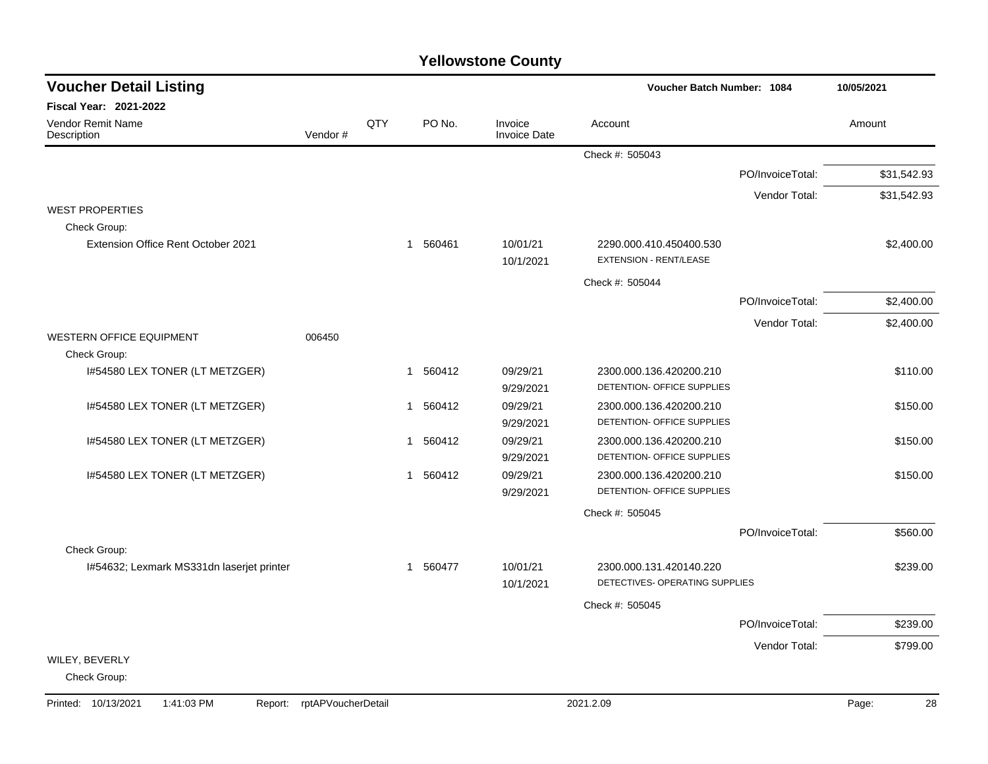| <b>Voucher Detail Listing</b>                |                    |              |          |                                | <b>Voucher Batch Number: 1084</b>                         |                  | 10/05/2021  |
|----------------------------------------------|--------------------|--------------|----------|--------------------------------|-----------------------------------------------------------|------------------|-------------|
| Fiscal Year: 2021-2022                       |                    |              |          |                                |                                                           |                  |             |
| Vendor Remit Name<br>Description             | Vendor#            | QTY          | PO No.   | Invoice<br><b>Invoice Date</b> | Account                                                   |                  | Amount      |
|                                              |                    |              |          |                                | Check #: 505043                                           |                  |             |
|                                              |                    |              |          |                                |                                                           | PO/InvoiceTotal: | \$31,542.93 |
|                                              |                    |              |          |                                |                                                           | Vendor Total:    | \$31,542.93 |
| <b>WEST PROPERTIES</b><br>Check Group:       |                    |              |          |                                |                                                           |                  |             |
| Extension Office Rent October 2021           |                    |              | 1 560461 | 10/01/21<br>10/1/2021          | 2290.000.410.450400.530<br><b>EXTENSION - RENT/LEASE</b>  |                  | \$2,400.00  |
|                                              |                    |              |          |                                | Check #: 505044                                           |                  |             |
|                                              |                    |              |          |                                |                                                           | PO/InvoiceTotal: | \$2,400.00  |
|                                              |                    |              |          |                                |                                                           | Vendor Total:    | \$2,400.00  |
| WESTERN OFFICE EQUIPMENT                     | 006450             |              |          |                                |                                                           |                  |             |
| Check Group:                                 |                    |              |          |                                |                                                           |                  |             |
| 1#54580 LEX TONER (LT METZGER)               |                    |              | 1 560412 | 09/29/21<br>9/29/2021          | 2300.000.136.420200.210<br>DETENTION- OFFICE SUPPLIES     |                  | \$110.00    |
| I#54580 LEX TONER (LT METZGER)               |                    | 1            | 560412   | 09/29/21<br>9/29/2021          | 2300.000.136.420200.210<br>DETENTION- OFFICE SUPPLIES     |                  | \$150.00    |
| 1#54580 LEX TONER (LT METZGER)               |                    | -1           | 560412   | 09/29/21<br>9/29/2021          | 2300.000.136.420200.210<br>DETENTION- OFFICE SUPPLIES     |                  | \$150.00    |
| 1#54580 LEX TONER (LT METZGER)               |                    | $\mathbf{1}$ | 560412   | 09/29/21<br>9/29/2021          | 2300.000.136.420200.210<br>DETENTION- OFFICE SUPPLIES     |                  | \$150.00    |
|                                              |                    |              |          |                                | Check #: 505045                                           |                  |             |
|                                              |                    |              |          |                                |                                                           | PO/InvoiceTotal: | \$560.00    |
| Check Group:                                 |                    |              |          |                                |                                                           |                  |             |
| 1#54632; Lexmark MS331dn laserjet printer    |                    | $\mathbf 1$  | 560477   | 10/01/21<br>10/1/2021          | 2300.000.131.420140.220<br>DETECTIVES- OPERATING SUPPLIES |                  | \$239.00    |
|                                              |                    |              |          |                                | Check #: 505045                                           |                  |             |
|                                              |                    |              |          |                                |                                                           | PO/InvoiceTotal: | \$239.00    |
|                                              |                    |              |          |                                |                                                           | Vendor Total:    | \$799.00    |
| WILEY, BEVERLY<br>Check Group:               |                    |              |          |                                |                                                           |                  |             |
| Printed: 10/13/2021<br>1:41:03 PM<br>Report: | rptAPVoucherDetail |              |          |                                | 2021.2.09                                                 |                  | 28<br>Page: |